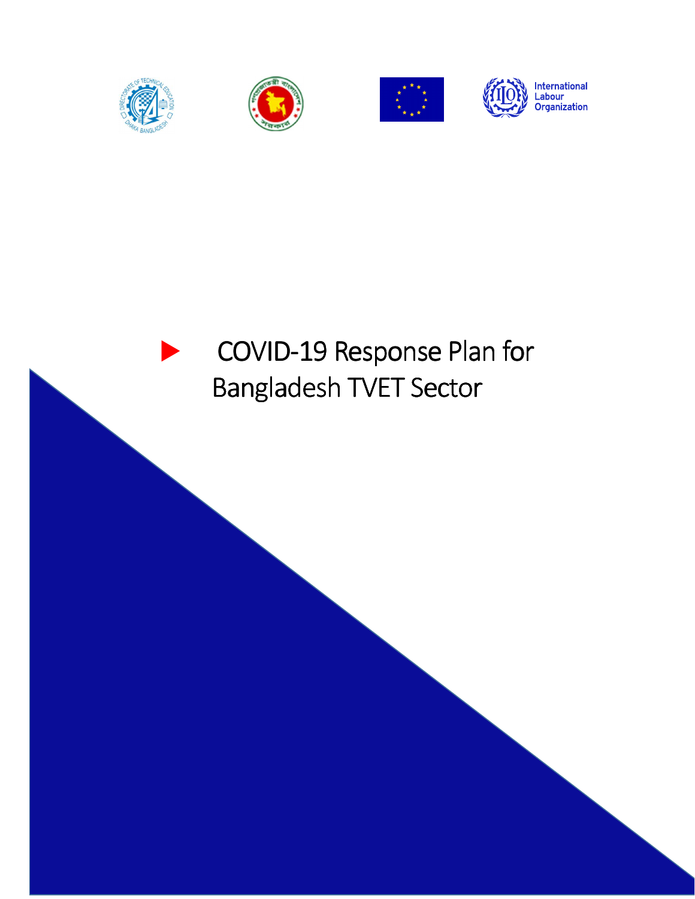







# COVID-19 Response Plan for Bangladesh TVET Sector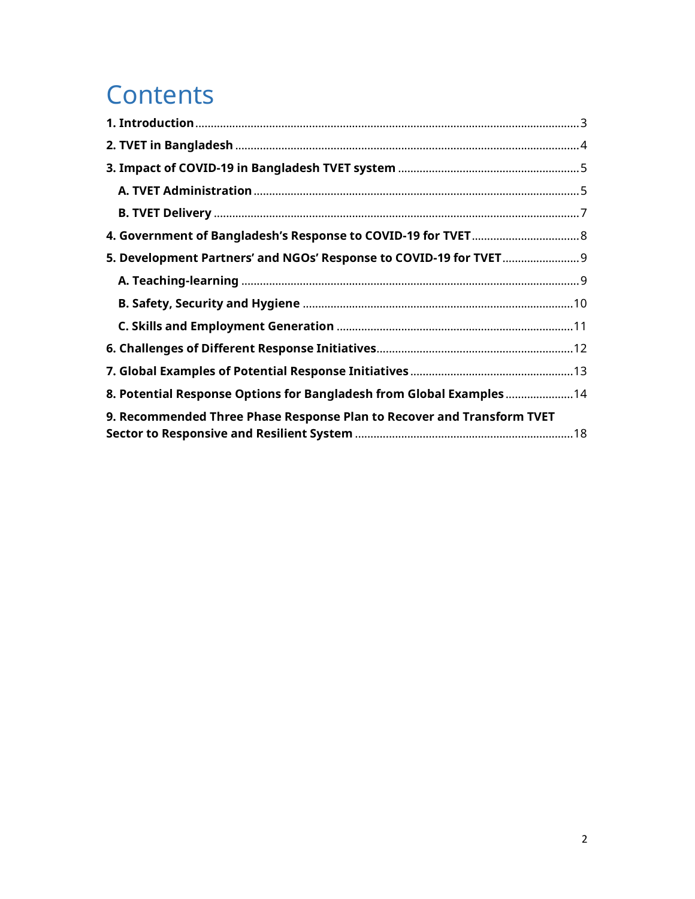## **Contents**

| 5. Development Partners' and NGOs' Response to COVID-19 for TVET 9     |  |
|------------------------------------------------------------------------|--|
|                                                                        |  |
|                                                                        |  |
|                                                                        |  |
|                                                                        |  |
|                                                                        |  |
| 8. Potential Response Options for Bangladesh from Global Examples  14  |  |
| 9. Recommended Three Phase Response Plan to Recover and Transform TVET |  |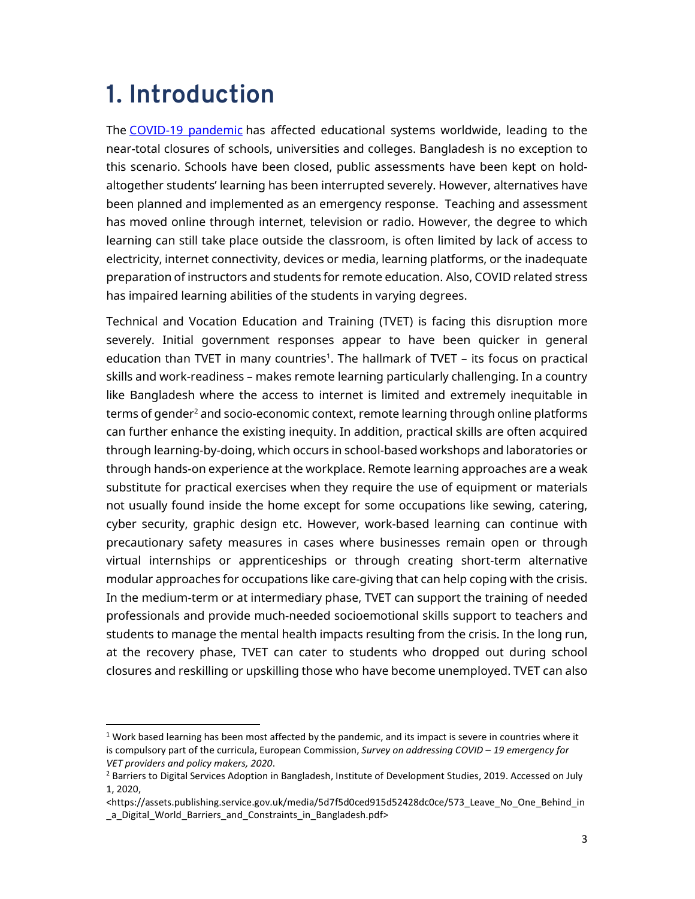## **1. Introduction**

1

The COVID-19 pandemic has affected educational systems worldwide, leading to the near-total closures of schools, universities and colleges. Bangladesh is no exception to this scenario. Schools have been closed, public assessments have been kept on holdaltogether students' learning has been interrupted severely. However, alternatives have been planned and implemented as an emergency response. Teaching and assessment has moved online through internet, television or radio. However, the degree to which learning can still take place outside the classroom, is often limited by lack of access to electricity, internet connectivity, devices or media, learning platforms, or the inadequate preparation of instructors and students for remote education. Also, COVID related stress has impaired learning abilities of the students in varying degrees.

Technical and Vocation Education and Training (TVET) is facing this disruption more severely. Initial government responses appear to have been quicker in general education than TVET in many countries<sup>1</sup>. The hallmark of TVET – its focus on practical skills and work-readiness – makes remote learning particularly challenging. In a country like Bangladesh where the access to internet is limited and extremely inequitable in terms of gender<sup>2</sup> and socio-economic context, remote learning through online platforms can further enhance the existing inequity. In addition, practical skills are often acquired through learning-by-doing, which occurs in school-based workshops and laboratories or through hands-on experience at the workplace. Remote learning approaches are a weak substitute for practical exercises when they require the use of equipment or materials not usually found inside the home except for some occupations like sewing, catering, cyber security, graphic design etc. However, work-based learning can continue with precautionary safety measures in cases where businesses remain open or through virtual internships or apprenticeships or through creating short-term alternative modular approaches for occupations like care-giving that can help coping with the crisis. In the medium-term or at intermediary phase, TVET can support the training of needed professionals and provide much-needed socioemotional skills support to teachers and students to manage the mental health impacts resulting from the crisis. In the long run, at the recovery phase, TVET can cater to students who dropped out during school closures and reskilling or upskilling those who have become unemployed. TVET can also

 $1$  Work based learning has been most affected by the pandemic, and its impact is severe in countries where it is compulsory part of the curricula, European Commission, *Survey on addressing COVID – 19 emergency for VET providers and policy makers, 2020*.

<sup>&</sup>lt;sup>2</sup> Barriers to Digital Services Adoption in Bangladesh, Institute of Development Studies, 2019. Accessed on July 1, 2020,

<sup>&</sup>lt;https://assets.publishing.service.gov.uk/media/5d7f5d0ced915d52428dc0ce/573\_Leave\_No\_One\_Behind\_in a Digital World Barriers and Constraints in Bangladesh.pdf>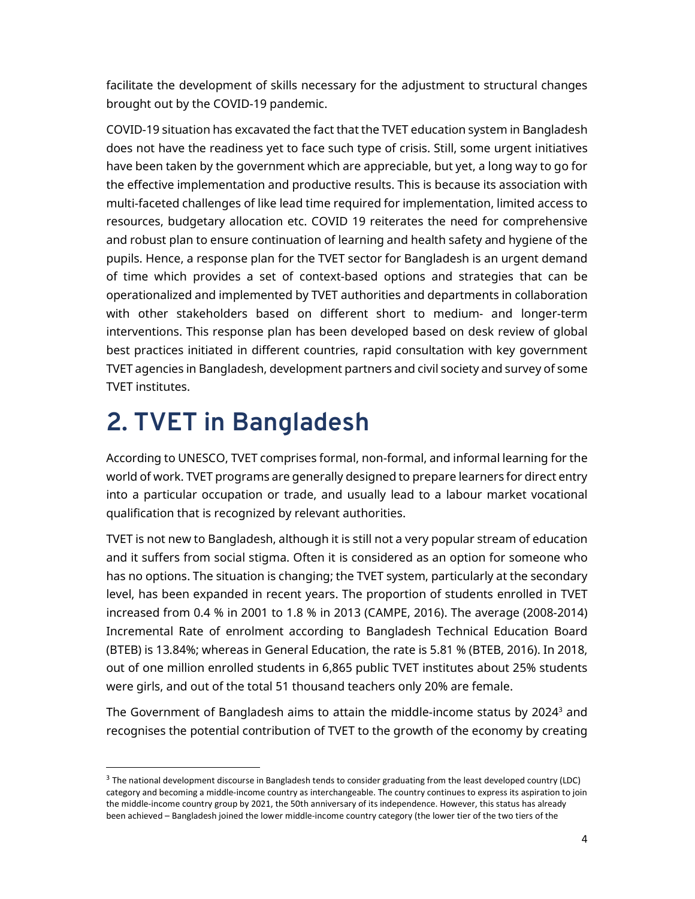facilitate the development of skills necessary for the adjustment to structural changes brought out by the COVID-19 pandemic.

COVID-19 situation has excavated the fact that the TVET education system in Bangladesh does not have the readiness yet to face such type of crisis. Still, some urgent initiatives have been taken by the government which are appreciable, but yet, a long way to go for the effective implementation and productive results. This is because its association with multi-faceted challenges of like lead time required for implementation, limited access to resources, budgetary allocation etc. COVID 19 reiterates the need for comprehensive and robust plan to ensure continuation of learning and health safety and hygiene of the pupils. Hence, a response plan for the TVET sector for Bangladesh is an urgent demand of time which provides a set of context-based options and strategies that can be operationalized and implemented by TVET authorities and departments in collaboration with other stakeholders based on different short to medium- and longer-term interventions. This response plan has been developed based on desk review of global best practices initiated in different countries, rapid consultation with key government TVET agencies in Bangladesh, development partners and civil society and survey of some TVET institutes.

## **2. TVET in Bangladesh**

l,

According to UNESCO, TVET comprises formal, non-formal, and informal learning for the world of work. TVET programs are generally designed to prepare learners for direct entry into a particular occupation or trade, and usually lead to a labour market vocational qualification that is recognized by relevant authorities.

TVET is not new to Bangladesh, although it is still not a very popular stream of education and it suffers from social stigma. Often it is considered as an option for someone who has no options. The situation is changing; the TVET system, particularly at the secondary level, has been expanded in recent years. The proportion of students enrolled in TVET increased from 0.4 % in 2001 to 1.8 % in 2013 (CAMPE, 2016). The average (2008-2014) Incremental Rate of enrolment according to Bangladesh Technical Education Board (BTEB) is 13.84%; whereas in General Education, the rate is 5.81 % (BTEB, 2016). In 2018, out of one million enrolled students in 6,865 public TVET institutes about 25% students were girls, and out of the total 51 thousand teachers only 20% are female.

The Government of Bangladesh aims to attain the middle-income status by 2024 $^{\text{3}}$  and recognises the potential contribution of TVET to the growth of the economy by creating

<sup>&</sup>lt;sup>3</sup> The national development discourse in Bangladesh tends to consider graduating from the least developed country (LDC) category and becoming a middle-income country as interchangeable. The country continues to express its aspiration to join the middle-income country group by 2021, the 50th anniversary of its independence. However, this status has already been achieved – Bangladesh joined the lower middle-income country category (the lower tier of the two tiers of the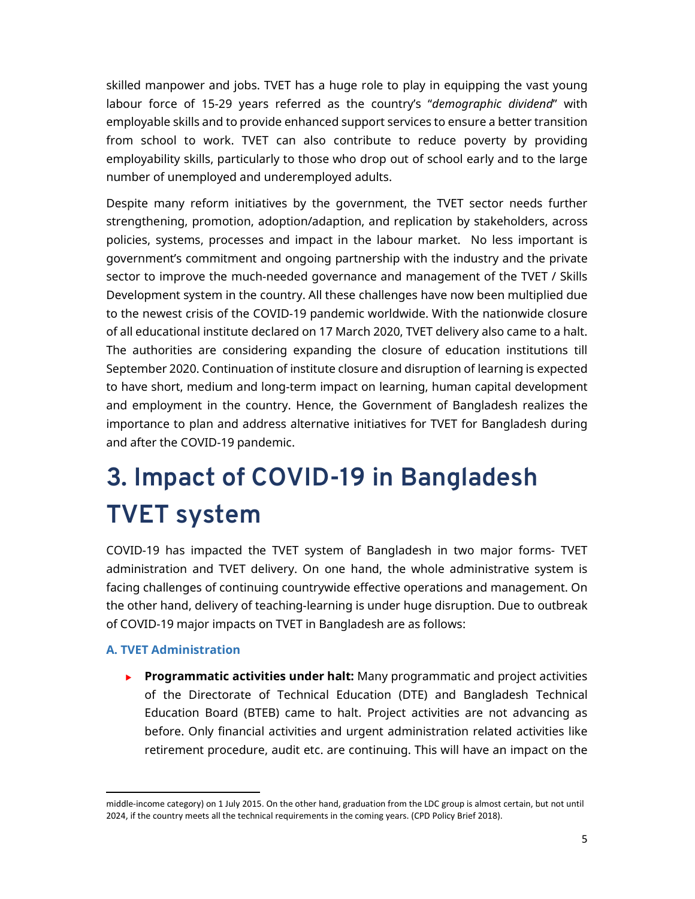skilled manpower and jobs. TVET has a huge role to play in equipping the vast young labour force of 15-29 years referred as the country's "*demographic dividend*" with employable skills and to provide enhanced support services to ensure a better transition from school to work. TVET can also contribute to reduce poverty by providing employability skills, particularly to those who drop out of school early and to the large number of unemployed and underemployed adults.

Despite many reform initiatives by the government, the TVET sector needs further strengthening, promotion, adoption/adaption, and replication by stakeholders, across policies, systems, processes and impact in the labour market. No less important is government's commitment and ongoing partnership with the industry and the private sector to improve the much-needed governance and management of the TVET / Skills Development system in the country. All these challenges have now been multiplied due to the newest crisis of the COVID-19 pandemic worldwide. With the nationwide closure of all educational institute declared on 17 March 2020, TVET delivery also came to a halt. The authorities are considering expanding the closure of education institutions till September 2020. Continuation of institute closure and disruption of learning is expected to have short, medium and long-term impact on learning, human capital development and employment in the country. Hence, the Government of Bangladesh realizes the importance to plan and address alternative initiatives for TVET for Bangladesh during and after the COVID-19 pandemic.

# **3. Impact of COVID-19 in Bangladesh TVET system**

COVID-19 has impacted the TVET system of Bangladesh in two major forms- TVET administration and TVET delivery. On one hand, the whole administrative system is facing challenges of continuing countrywide effective operations and management. On the other hand, delivery of teaching-learning is under huge disruption. Due to outbreak of COVID-19 major impacts on TVET in Bangladesh are as follows:

## **A. TVET Administration**

 $\overline{a}$ 

**Programmatic activities under halt:** Many programmatic and project activities of the Directorate of Technical Education (DTE) and Bangladesh Technical Education Board (BTEB) came to halt. Project activities are not advancing as before. Only financial activities and urgent administration related activities like retirement procedure, audit etc. are continuing. This will have an impact on the

middle-income category) on 1 July 2015. On the other hand, graduation from the LDC group is almost certain, but not until 2024, if the country meets all the technical requirements in the coming years. (CPD Policy Brief 2018).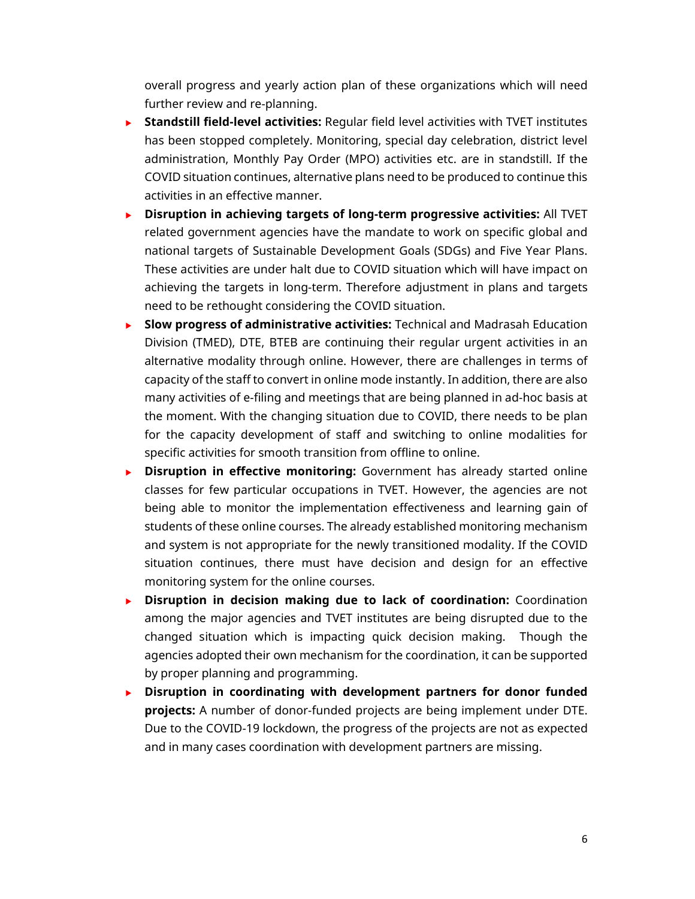overall progress and yearly action plan of these organizations which will need further review and re-planning.

- **Standstill field-level activities:** Regular field level activities with TVET institutes has been stopped completely. Monitoring, special day celebration, district level administration, Monthly Pay Order (MPO) activities etc. are in standstill. If the COVID situation continues, alternative plans need to be produced to continue this activities in an effective manner.
- **Disruption in achieving targets of long-term progressive activities:** All TVET related government agencies have the mandate to work on specific global and national targets of Sustainable Development Goals (SDGs) and Five Year Plans. These activities are under halt due to COVID situation which will have impact on achieving the targets in long-term. Therefore adjustment in plans and targets need to be rethought considering the COVID situation.
- **Slow progress of administrative activities:** Technical and Madrasah Education Division (TMED), DTE, BTEB are continuing their regular urgent activities in an alternative modality through online. However, there are challenges in terms of capacity of the staff to convert in online mode instantly. In addition, there are also many activities of e-filing and meetings that are being planned in ad-hoc basis at the moment. With the changing situation due to COVID, there needs to be plan for the capacity development of staff and switching to online modalities for specific activities for smooth transition from offline to online.
- **Disruption in effective monitoring:** Government has already started online classes for few particular occupations in TVET. However, the agencies are not being able to monitor the implementation effectiveness and learning gain of students of these online courses. The already established monitoring mechanism and system is not appropriate for the newly transitioned modality. If the COVID situation continues, there must have decision and design for an effective monitoring system for the online courses.
- **Disruption in decision making due to lack of coordination:** Coordination among the major agencies and TVET institutes are being disrupted due to the changed situation which is impacting quick decision making. Though the agencies adopted their own mechanism for the coordination, it can be supported by proper planning and programming.
- **Disruption in coordinating with development partners for donor funded projects:** A number of donor-funded projects are being implement under DTE. Due to the COVID-19 lockdown, the progress of the projects are not as expected and in many cases coordination with development partners are missing.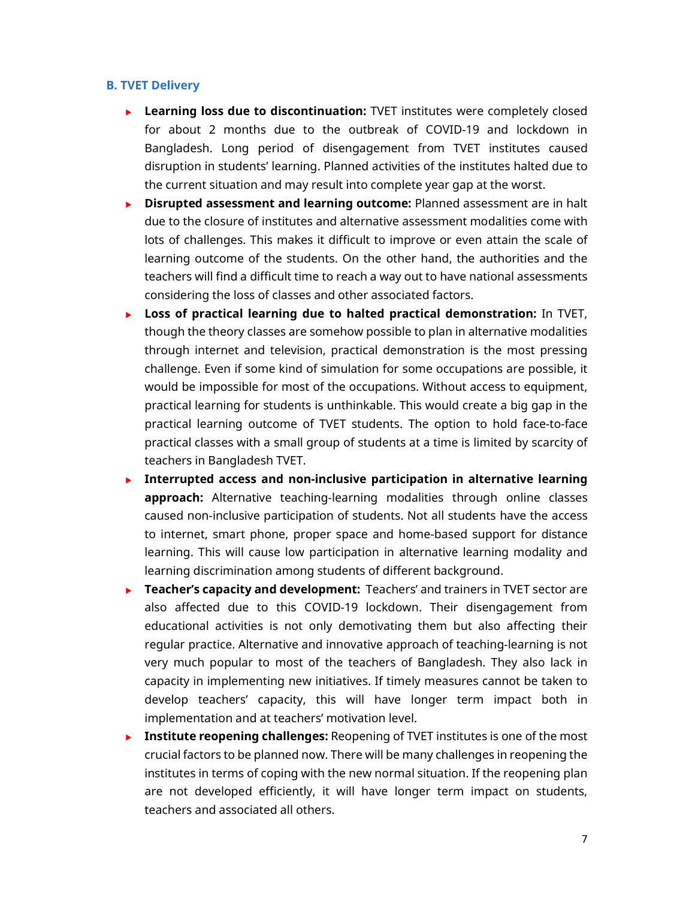#### **B. TVET Delivery**

- **Learning loss due to discontinuation:** TVET institutes were completely closed for about 2 months due to the outbreak of COVID-19 and lockdown in Bangladesh. Long period of disengagement from TVET institutes caused disruption in students' learning. Planned activities of the institutes halted due to the current situation and may result into complete year gap at the worst.
- **Disrupted assessment and learning outcome:** Planned assessment are in halt due to the closure of institutes and alternative assessment modalities come with lots of challenges. This makes it difficult to improve or even attain the scale of learning outcome of the students. On the other hand, the authorities and the teachers will find a difficult time to reach a way out to have national assessments considering the loss of classes and other associated factors.
- **Loss of practical learning due to halted practical demonstration:** In TVET, though the theory classes are somehow possible to plan in alternative modalities through internet and television, practical demonstration is the most pressing challenge. Even if some kind of simulation for some occupations are possible, it would be impossible for most of the occupations. Without access to equipment, practical learning for students is unthinkable. This would create a big gap in the practical learning outcome of TVET students. The option to hold face-to-face practical classes with a small group of students at a time is limited by scarcity of teachers in Bangladesh TVET.
- **Interrupted access and non-inclusive participation in alternative learning approach:** Alternative teaching-learning modalities through online classes caused non-inclusive participation of students. Not all students have the access to internet, smart phone, proper space and home-based support for distance learning. This will cause low participation in alternative learning modality and learning discrimination among students of different background.
- **Teacher's capacity and development:** Teachers' and trainers in TVET sector are also affected due to this COVID-19 lockdown. Their disengagement from educational activities is not only demotivating them but also affecting their regular practice. Alternative and innovative approach of teaching-learning is not very much popular to most of the teachers of Bangladesh. They also lack in capacity in implementing new initiatives. If timely measures cannot be taken to develop teachers' capacity, this will have longer term impact both in implementation and at teachers' motivation level.
- **Institute reopening challenges:** Reopening of TVET institutes is one of the most crucial factors to be planned now. There will be many challenges in reopening the institutes in terms of coping with the new normal situation. If the reopening plan are not developed efficiently, it will have longer term impact on students, teachers and associated all others.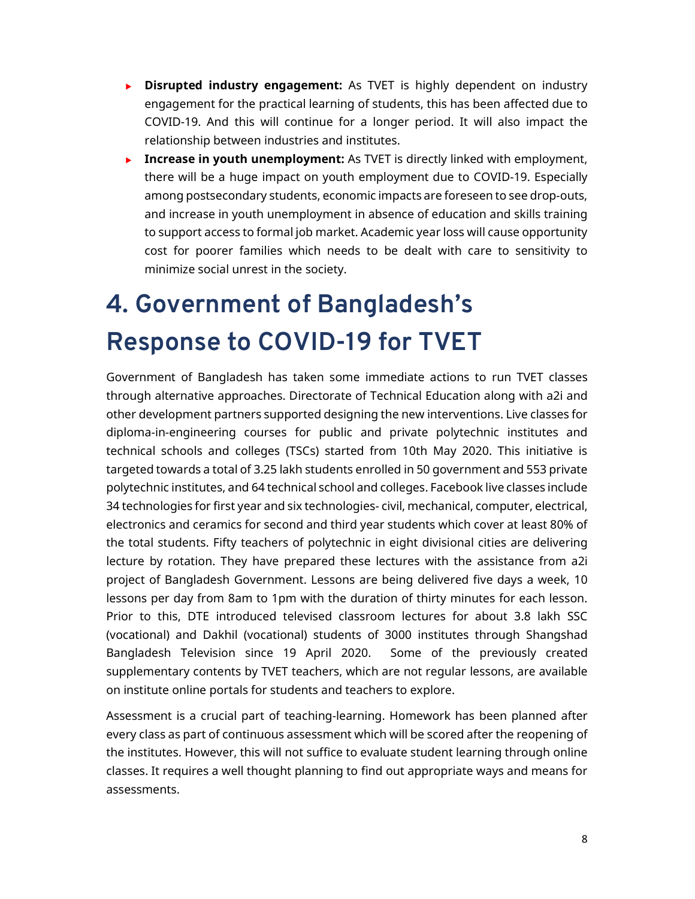- **Disrupted industry engagement:** As TVET is highly dependent on industry engagement for the practical learning of students, this has been affected due to COVID-19. And this will continue for a longer period. It will also impact the relationship between industries and institutes.
- **Increase in youth unemployment:** As TVET is directly linked with employment, there will be a huge impact on youth employment due to COVID-19. Especially among postsecondary students, economic impacts are foreseen to see drop-outs, and increase in youth unemployment in absence of education and skills training to support access to formal job market. Academic year loss will cause opportunity cost for poorer families which needs to be dealt with care to sensitivity to minimize social unrest in the society.

# **4. Government of Bangladesh's Response to COVID-19 for TVET**

Government of Bangladesh has taken some immediate actions to run TVET classes through alternative approaches. Directorate of Technical Education along with a2i and other development partners supported designing the new interventions. Live classes for diploma-in-engineering courses for public and private polytechnic institutes and technical schools and colleges (TSCs) started from 10th May 2020. This initiative is targeted towards a total of 3.25 lakh students enrolled in 50 government and 553 private polytechnic institutes, and 64 technical school and colleges. Facebook live classes include 34 technologies for first year and six technologies- civil, mechanical, computer, electrical, electronics and ceramics for second and third year students which cover at least 80% of the total students. Fifty teachers of polytechnic in eight divisional cities are delivering lecture by rotation. They have prepared these lectures with the assistance from a2i project of Bangladesh Government. Lessons are being delivered five days a week, 10 lessons per day from 8am to 1pm with the duration of thirty minutes for each lesson. Prior to this, DTE introduced televised classroom lectures for about 3.8 lakh SSC (vocational) and Dakhil (vocational) students of 3000 institutes through Shangshad Bangladesh Television since 19 April 2020. Some of the previously created supplementary contents by TVET teachers, which are not regular lessons, are available on institute online portals for students and teachers to explore.

Assessment is a crucial part of teaching-learning. Homework has been planned after every class as part of continuous assessment which will be scored after the reopening of the institutes. However, this will not suffice to evaluate student learning through online classes. It requires a well thought planning to find out appropriate ways and means for assessments.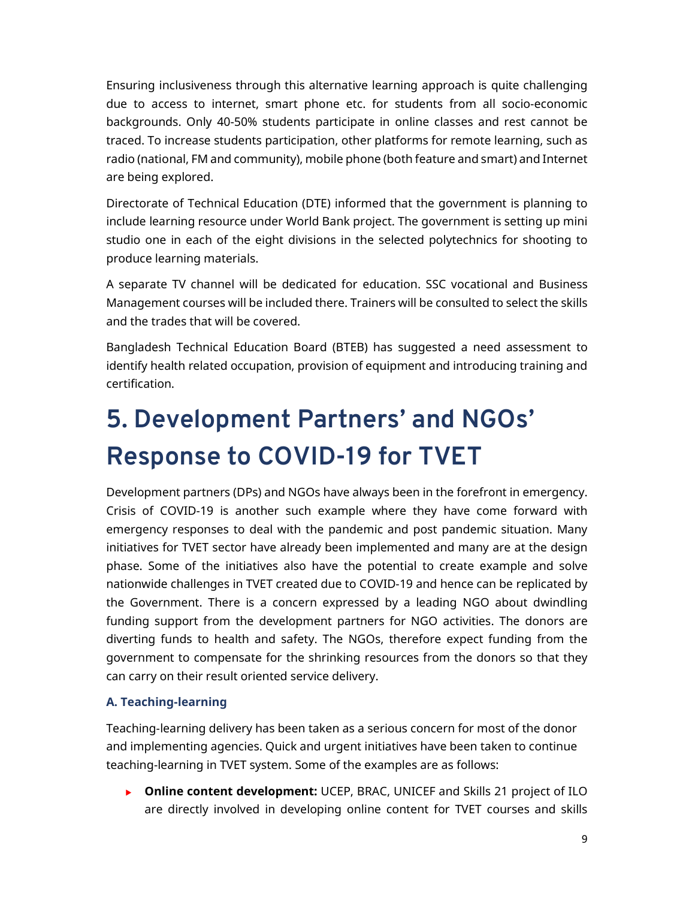Ensuring inclusiveness through this alternative learning approach is quite challenging due to access to internet, smart phone etc. for students from all socio-economic backgrounds. Only 40-50% students participate in online classes and rest cannot be traced. To increase students participation, other platforms for remote learning, such as radio (national, FM and community), mobile phone (both feature and smart) and Internet are being explored.

Directorate of Technical Education (DTE) informed that the government is planning to include learning resource under World Bank project. The government is setting up mini studio one in each of the eight divisions in the selected polytechnics for shooting to produce learning materials.

A separate TV channel will be dedicated for education. SSC vocational and Business Management courses will be included there. Trainers will be consulted to select the skills and the trades that will be covered.

Bangladesh Technical Education Board (BTEB) has suggested a need assessment to identify health related occupation, provision of equipment and introducing training and certification.

# **5. Development Partners' and NGOs' Response to COVID-19 for TVET**

Development partners (DPs) and NGOs have always been in the forefront in emergency. Crisis of COVID-19 is another such example where they have come forward with emergency responses to deal with the pandemic and post pandemic situation. Many initiatives for TVET sector have already been implemented and many are at the design phase. Some of the initiatives also have the potential to create example and solve nationwide challenges in TVET created due to COVID-19 and hence can be replicated by the Government. There is a concern expressed by a leading NGO about dwindling funding support from the development partners for NGO activities. The donors are diverting funds to health and safety. The NGOs, therefore expect funding from the government to compensate for the shrinking resources from the donors so that they can carry on their result oriented service delivery.

## **A. Teaching-learning**

Teaching-learning delivery has been taken as a serious concern for most of the donor and implementing agencies. Quick and urgent initiatives have been taken to continue teaching-learning in TVET system. Some of the examples are as follows:

**Dinime content development:** UCEP, BRAC, UNICEF and Skills 21 project of ILO are directly involved in developing online content for TVET courses and skills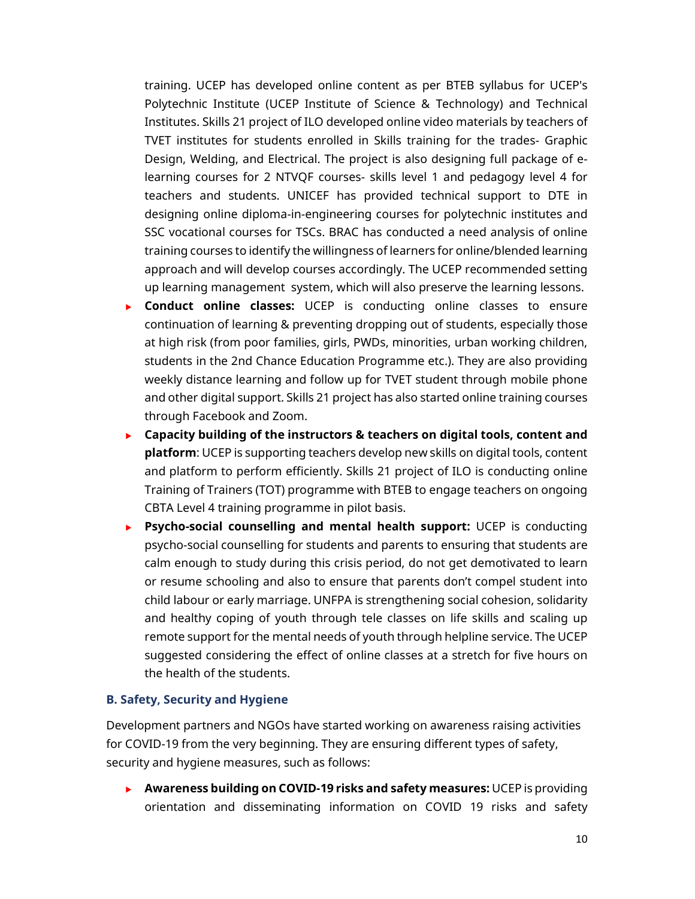training. UCEP has developed online content as per BTEB syllabus for UCEP's Polytechnic Institute (UCEP Institute of Science & Technology) and Technical Institutes. Skills 21 project of ILO developed online video materials by teachers of TVET institutes for students enrolled in Skills training for the trades- Graphic Design, Welding, and Electrical. The project is also designing full package of elearning courses for 2 NTVQF courses- skills level 1 and pedagogy level 4 for teachers and students. UNICEF has provided technical support to DTE in designing online diploma-in-engineering courses for polytechnic institutes and SSC vocational courses for TSCs. BRAC has conducted a need analysis of online training courses to identify the willingness of learners for online/blended learning approach and will develop courses accordingly. The UCEP recommended setting up learning management system, which will also preserve the learning lessons.

- **Conduct online classes:** UCEP is conducting online classes to ensure continuation of learning & preventing dropping out of students, especially those at high risk (from poor families, girls, PWDs, minorities, urban working children, students in the 2nd Chance Education Programme etc.). They are also providing weekly distance learning and follow up for TVET student through mobile phone and other digital support. Skills 21 project has also started online training courses through Facebook and Zoom.
- **Capacity building of the instructors & teachers on digital tools, content and platform**: UCEP is supporting teachers develop new skills on digital tools, content and platform to perform efficiently. Skills 21 project of ILO is conducting online Training of Trainers (TOT) programme with BTEB to engage teachers on ongoing CBTA Level 4 training programme in pilot basis.
- **Psycho-social counselling and mental health support:** UCEP is conducting psycho-social counselling for students and parents to ensuring that students are calm enough to study during this crisis period, do not get demotivated to learn or resume schooling and also to ensure that parents don't compel student into child labour or early marriage. UNFPA is strengthening social cohesion, solidarity and healthy coping of youth through tele classes on life skills and scaling up remote support for the mental needs of youth through helpline service. The UCEP suggested considering the effect of online classes at a stretch for five hours on the health of the students.

#### **B. Safety, Security and Hygiene**

Development partners and NGOs have started working on awareness raising activities for COVID-19 from the very beginning. They are ensuring different types of safety, security and hygiene measures, such as follows:

 **Awareness building on COVID-19 risks and safety measures:** UCEP is providing orientation and disseminating information on COVID 19 risks and safety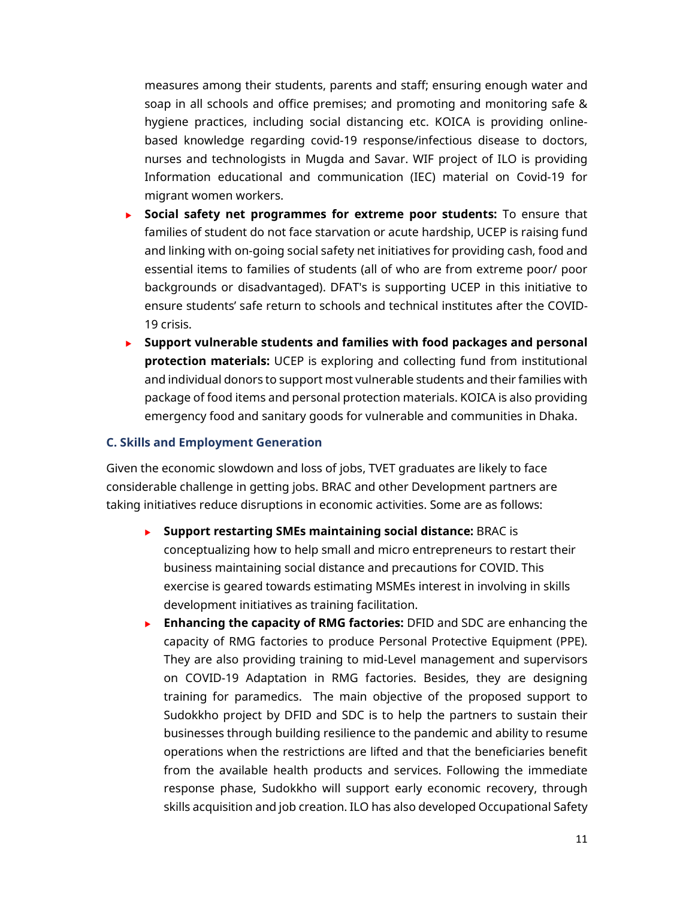measures among their students, parents and staff; ensuring enough water and soap in all schools and office premises; and promoting and monitoring safe & hygiene practices, including social distancing etc. KOICA is providing onlinebased knowledge regarding covid-19 response/infectious disease to doctors, nurses and technologists in Mugda and Savar. WIF project of ILO is providing Information educational and communication (IEC) material on Covid-19 for migrant women workers.

- **Social safety net programmes for extreme poor students:** To ensure that families of student do not face starvation or acute hardship, UCEP is raising fund and linking with on-going social safety net initiatives for providing cash, food and essential items to families of students (all of who are from extreme poor/ poor backgrounds or disadvantaged). DFAT's is supporting UCEP in this initiative to ensure students' safe return to schools and technical institutes after the COVID-19 crisis.
- **Support vulnerable students and families with food packages and personal protection materials:** UCEP is exploring and collecting fund from institutional and individual donors to support most vulnerable students and their families with package of food items and personal protection materials. KOICA is also providing emergency food and sanitary goods for vulnerable and communities in Dhaka.

#### **C. Skills and Employment Generation**

Given the economic slowdown and loss of jobs, TVET graduates are likely to face considerable challenge in getting jobs. BRAC and other Development partners are taking initiatives reduce disruptions in economic activities. Some are as follows:

- **Support restarting SMEs maintaining social distance:** BRAC is conceptualizing how to help small and micro entrepreneurs to restart their business maintaining social distance and precautions for COVID. This exercise is geared towards estimating MSMEs interest in involving in skills development initiatives as training facilitation.
- **Enhancing the capacity of RMG factories:** DFID and SDC are enhancing the capacity of RMG factories to produce Personal Protective Equipment (PPE). They are also providing training to mid-Level management and supervisors on COVID-19 Adaptation in RMG factories. Besides, they are designing training for paramedics. The main objective of the proposed support to Sudokkho project by DFID and SDC is to help the partners to sustain their businesses through building resilience to the pandemic and ability to resume operations when the restrictions are lifted and that the beneficiaries benefit from the available health products and services. Following the immediate response phase, Sudokkho will support early economic recovery, through skills acquisition and job creation. ILO has also developed Occupational Safety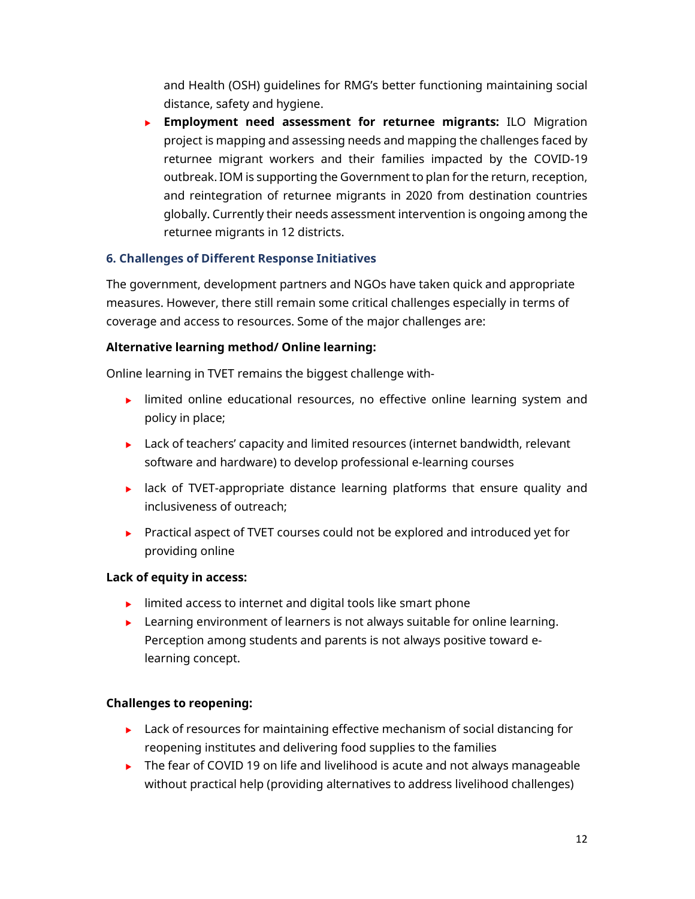and Health (OSH) guidelines for RMG's better functioning maintaining social distance, safety and hygiene.

 **Employment need assessment for returnee migrants:** ILO Migration project is mapping and assessing needs and mapping the challenges faced by returnee migrant workers and their families impacted by the COVID-19 outbreak. IOM is supporting the Government to plan for the return, reception, and reintegration of returnee migrants in 2020 from destination countries globally. Currently their needs assessment intervention is ongoing among the returnee migrants in 12 districts.

## **6. Challenges of Different Response Initiatives**

The government, development partners and NGOs have taken quick and appropriate measures. However, there still remain some critical challenges especially in terms of coverage and access to resources. Some of the major challenges are:

## **Alternative learning method/ Online learning:**

Online learning in TVET remains the biggest challenge with-

- **IDED** limited online educational resources, no effective online learning system and policy in place;
- $\blacktriangleright$  Lack of teachers' capacity and limited resources (internet bandwidth, relevant software and hardware) to develop professional e-learning courses
- **EXECT**-appropriate distance learning platforms that ensure quality and inclusiveness of outreach;
- Practical aspect of TVET courses could not be explored and introduced yet for providing online

## **Lack of equity in access:**

- $\blacktriangleright$  limited access to internet and digital tools like smart phone
- $\blacktriangleright$  Learning environment of learners is not always suitable for online learning. Perception among students and parents is not always positive toward elearning concept.

## **Challenges to reopening:**

- $\blacktriangleright$  Lack of resources for maintaining effective mechanism of social distancing for reopening institutes and delivering food supplies to the families
- The fear of COVID 19 on life and livelihood is acute and not always manageable without practical help (providing alternatives to address livelihood challenges)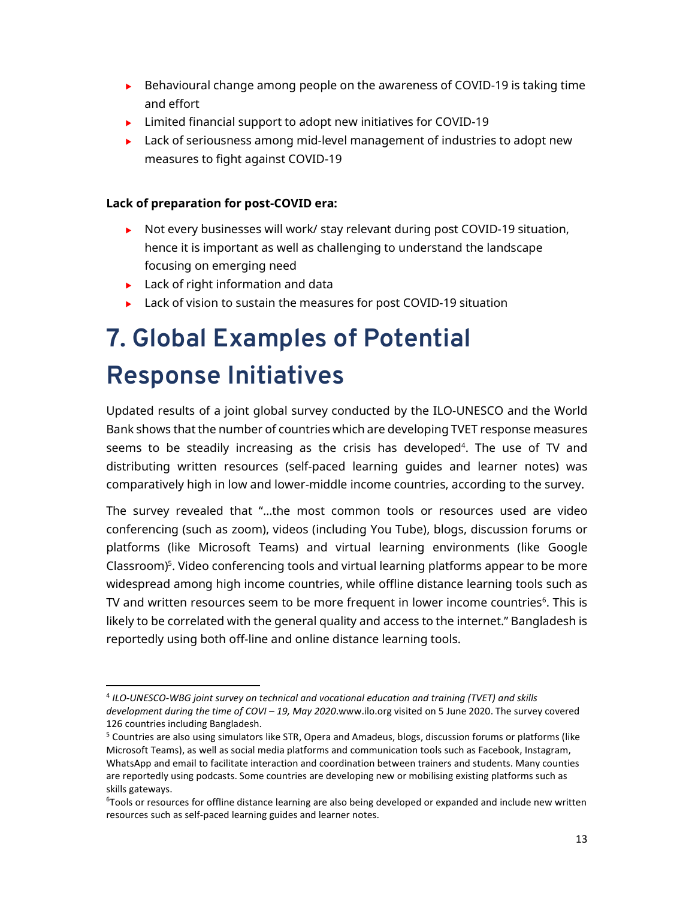- $\triangleright$  Behavioural change among people on the awareness of COVID-19 is taking time and effort
- ► Limited financial support to adopt new initiatives for COVID-19
- $\blacktriangleright$  Lack of seriousness among mid-level management of industries to adopt new measures to fight against COVID-19

### **Lack of preparation for post-COVID era:**

- $\triangleright$  Not every businesses will work/ stay relevant during post COVID-19 situation, hence it is important as well as challenging to understand the landscape focusing on emerging need
- $\blacktriangleright$  Lack of right information and data

l,

**Lack of vision to sustain the measures for post COVID-19 situation** 

# **7. Global Examples of Potential Response Initiatives**

Updated results of a joint global survey conducted by the ILO-UNESCO and the World Bank shows that the number of countries which are developing TVET response measures seems to be steadily increasing as the crisis has developed<sup>4</sup>. The use of TV and distributing written resources (self-paced learning guides and learner notes) was comparatively high in low and lower-middle income countries, according to the survey.

The survey revealed that "…the most common tools or resources used are video conferencing (such as zoom), videos (including You Tube), blogs, discussion forums or platforms (like Microsoft Teams) and virtual learning environments (like Google Classroom)<sup>5</sup>. Video conferencing tools and virtual learning platforms appear to be more widespread among high income countries, while offline distance learning tools such as TV and written resources seem to be more frequent in lower income countries $<sup>6</sup>$ . This is</sup> likely to be correlated with the general quality and access to the internet." Bangladesh is reportedly using both off-line and online distance learning tools.

<sup>4</sup> *ILO-UNESCO-WBG joint survey on technical and vocational education and training (TVET) and skills development during the time of COVI – 19, May 2020*.www.ilo.org visited on 5 June 2020. The survey covered 126 countries including Bangladesh.

<sup>&</sup>lt;sup>5</sup> Countries are also using simulators like STR, Opera and Amadeus, blogs, discussion forums or platforms (like Microsoft Teams), as well as social media platforms and communication tools such as Facebook, Instagram, WhatsApp and email to facilitate interaction and coordination between trainers and students. Many counties are reportedly using podcasts. Some countries are developing new or mobilising existing platforms such as skills gateways.

<sup>&</sup>lt;sup>6</sup>Tools or resources for offline distance learning are also being developed or expanded and include new written resources such as self-paced learning guides and learner notes.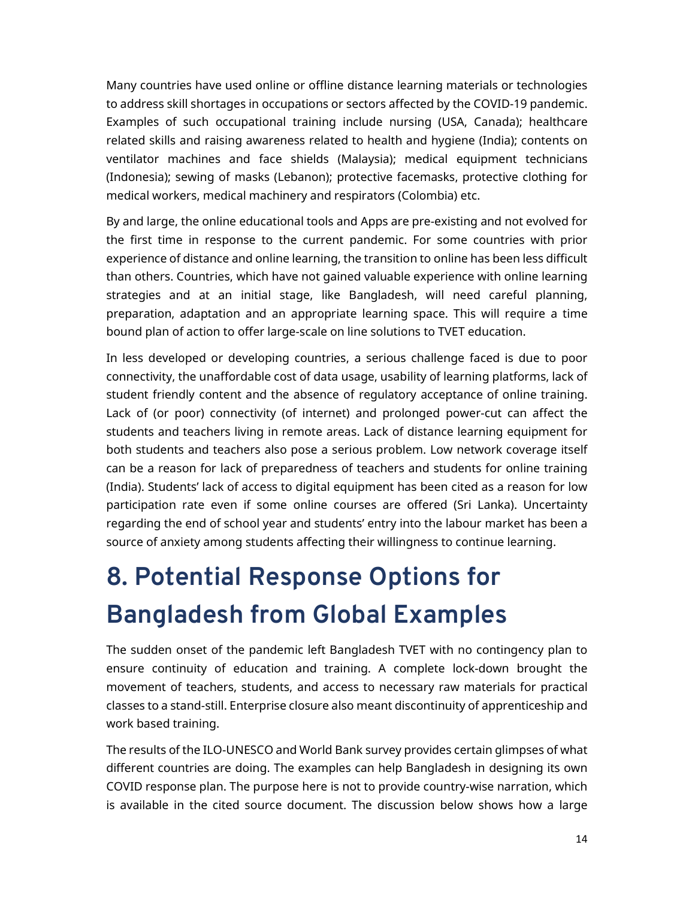Many countries have used online or offline distance learning materials or technologies to address skill shortages in occupations or sectors affected by the COVID-19 pandemic. Examples of such occupational training include nursing (USA, Canada); healthcare related skills and raising awareness related to health and hygiene (India); contents on ventilator machines and face shields (Malaysia); medical equipment technicians (Indonesia); sewing of masks (Lebanon); protective facemasks, protective clothing for medical workers, medical machinery and respirators (Colombia) etc.

By and large, the online educational tools and Apps are pre-existing and not evolved for the first time in response to the current pandemic. For some countries with prior experience of distance and online learning, the transition to online has been less difficult than others. Countries, which have not gained valuable experience with online learning strategies and at an initial stage, like Bangladesh, will need careful planning, preparation, adaptation and an appropriate learning space. This will require a time bound plan of action to offer large-scale on line solutions to TVET education.

In less developed or developing countries, a serious challenge faced is due to poor connectivity, the unaffordable cost of data usage, usability of learning platforms, lack of student friendly content and the absence of regulatory acceptance of online training. Lack of (or poor) connectivity (of internet) and prolonged power-cut can affect the students and teachers living in remote areas. Lack of distance learning equipment for both students and teachers also pose a serious problem. Low network coverage itself can be a reason for lack of preparedness of teachers and students for online training (India). Students' lack of access to digital equipment has been cited as a reason for low participation rate even if some online courses are offered (Sri Lanka). Uncertainty regarding the end of school year and students' entry into the labour market has been a source of anxiety among students affecting their willingness to continue learning.

# **8. Potential Response Options for Bangladesh from Global Examples**

The sudden onset of the pandemic left Bangladesh TVET with no contingency plan to ensure continuity of education and training. A complete lock-down brought the movement of teachers, students, and access to necessary raw materials for practical classes to a stand-still. Enterprise closure also meant discontinuity of apprenticeship and work based training.

The results of the ILO-UNESCO and World Bank survey provides certain glimpses of what different countries are doing. The examples can help Bangladesh in designing its own COVID response plan. The purpose here is not to provide country-wise narration, which is available in the cited source document. The discussion below shows how a large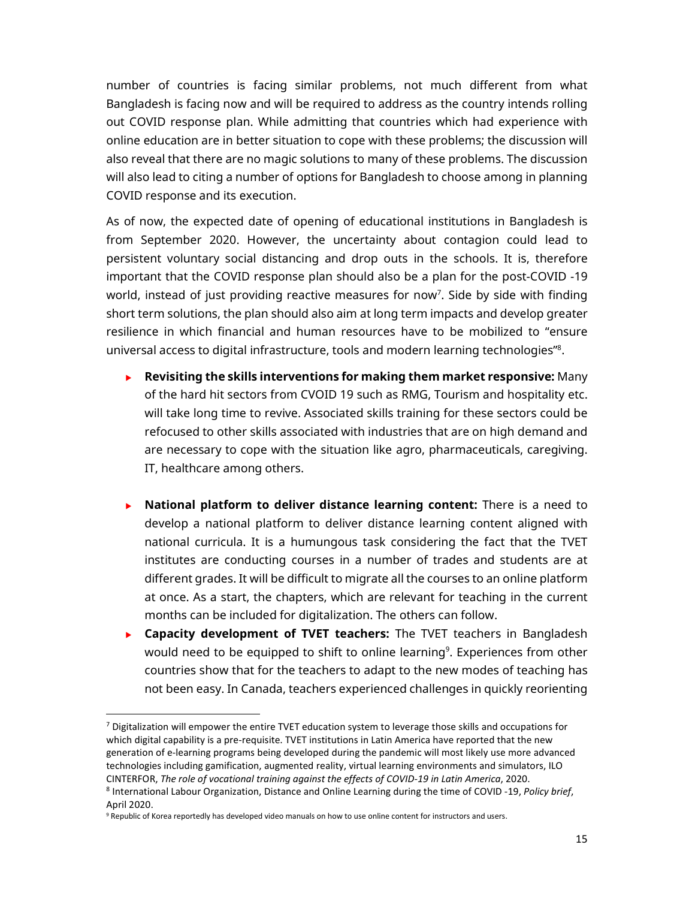number of countries is facing similar problems, not much different from what Bangladesh is facing now and will be required to address as the country intends rolling out COVID response plan. While admitting that countries which had experience with online education are in better situation to cope with these problems; the discussion will also reveal that there are no magic solutions to many of these problems. The discussion will also lead to citing a number of options for Bangladesh to choose among in planning COVID response and its execution.

As of now, the expected date of opening of educational institutions in Bangladesh is from September 2020. However, the uncertainty about contagion could lead to persistent voluntary social distancing and drop outs in the schools. It is, therefore important that the COVID response plan should also be a plan for the post-COVID -19 world, instead of just providing reactive measures for now<sup>7</sup>. Side by side with finding short term solutions, the plan should also aim at long term impacts and develop greater resilience in which financial and human resources have to be mobilized to "ensure universal access to digital infrastructure, tools and modern learning technologies"<sup>8</sup> .

- **Revisiting the skills interventions for making them market responsive:** Many of the hard hit sectors from CVOID 19 such as RMG, Tourism and hospitality etc. will take long time to revive. Associated skills training for these sectors could be refocused to other skills associated with industries that are on high demand and are necessary to cope with the situation like agro, pharmaceuticals, caregiving. IT, healthcare among others.
- **National platform to deliver distance learning content:** There is a need to develop a national platform to deliver distance learning content aligned with national curricula. It is a humungous task considering the fact that the TVET institutes are conducting courses in a number of trades and students are at different grades. It will be difficult to migrate all the courses to an online platform at once. As a start, the chapters, which are relevant for teaching in the current months can be included for digitalization. The others can follow.
- **Capacity development of TVET teachers:** The TVET teachers in Bangladesh would need to be equipped to shift to online learning<sup>9</sup>. Experiences from other countries show that for the teachers to adapt to the new modes of teaching has not been easy. In Canada, teachers experienced challenges in quickly reorienting

<sup>&</sup>lt;sup>7</sup> Digitalization will empower the entire TVET education system to leverage those skills and occupations for which digital capability is a pre-requisite. TVET institutions in Latin America have reported that the new generation of e-learning programs being developed during the pandemic will most likely use more advanced technologies including gamification, augmented reality, virtual learning environments and simulators, ILO CINTERFOR, *The role of vocational training against the effects of COVID-19 in Latin America*, 2020.

<sup>8</sup> International Labour Organization, Distance and Online Learning during the time of COVID -19, *Policy brief*, April 2020.

<sup>&</sup>lt;sup>9</sup> Republic of Korea reportedly has developed video manuals on how to use online content for instructors and users.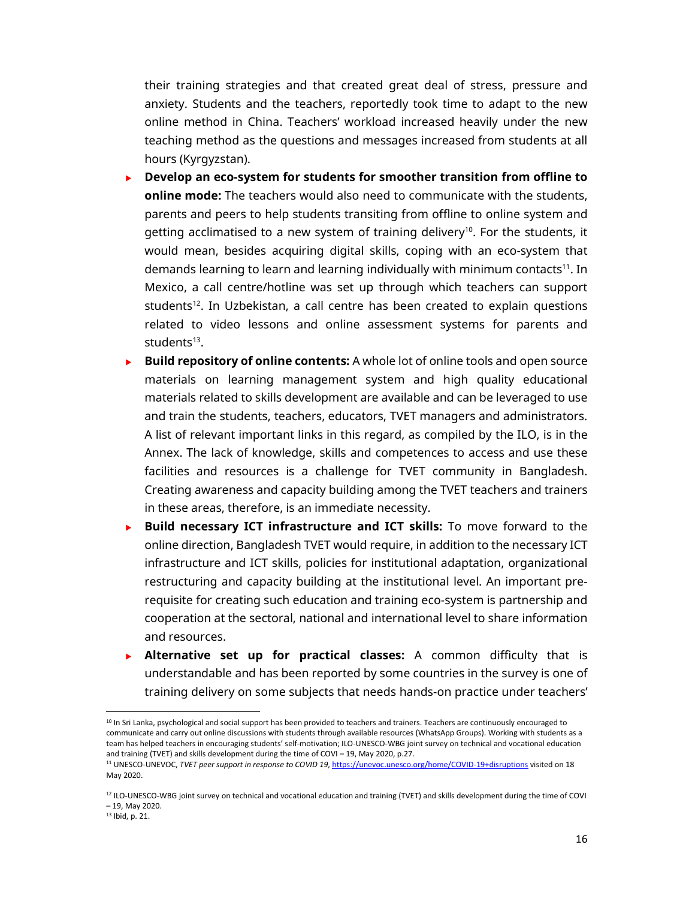their training strategies and that created great deal of stress, pressure and anxiety. Students and the teachers, reportedly took time to adapt to the new online method in China. Teachers' workload increased heavily under the new teaching method as the questions and messages increased from students at all hours (Kyrgyzstan).

- **Develop an eco-system for students for smoother transition from offline to online mode:** The teachers would also need to communicate with the students, parents and peers to help students transiting from offline to online system and getting acclimatised to a new system of training delivery<sup>10</sup>. For the students, it would mean, besides acquiring digital skills, coping with an eco-system that demands learning to learn and learning individually with minimum contacts<sup>11</sup>. In Mexico, a call centre/hotline was set up through which teachers can support students<sup>12</sup>. In Uzbekistan, a call centre has been created to explain questions related to video lessons and online assessment systems for parents and students<sup>13</sup>.
- **Build repository of online contents:** A whole lot of online tools and open source materials on learning management system and high quality educational materials related to skills development are available and can be leveraged to use and train the students, teachers, educators, TVET managers and administrators. A list of relevant important links in this regard, as compiled by the ILO, is in the Annex. The lack of knowledge, skills and competences to access and use these facilities and resources is a challenge for TVET community in Bangladesh. Creating awareness and capacity building among the TVET teachers and trainers in these areas, therefore, is an immediate necessity.
- **Build necessary ICT infrastructure and ICT skills:** To move forward to the online direction, Bangladesh TVET would require, in addition to the necessary ICT infrastructure and ICT skills, policies for institutional adaptation, organizational restructuring and capacity building at the institutional level. An important prerequisite for creating such education and training eco-system is partnership and cooperation at the sectoral, national and international level to share information and resources.
- **Alternative set up for practical classes:** A common difficulty that is understandable and has been reported by some countries in the survey is one of training delivery on some subjects that needs hands-on practice under teachers'

<sup>&</sup>lt;sup>10</sup> In Sri Lanka, psychological and social support has been provided to teachers and trainers. Teachers are continuously encouraged to communicate and carry out online discussions with students through available resources (WhatsApp Groups). Working with students as a team has helped teachers in encouraging students' self-motivation; ILO-UNESCO-WBG joint survey on technical and vocational education and training (TVET) and skills development during the time of COVI – 19, May 2020, p.27.

<sup>11</sup> UNESCO-UNEVOC, *TVET peer support in response to COVID 19*, https://unevoc.unesco.org/home/COVID-19+disruptions visited on 18 May 2020.

<sup>&</sup>lt;sup>12</sup> ILO-UNESCO-WBG joint survey on technical and vocational education and training (TVET) and skills development during the time of COVI – 19, May 2020.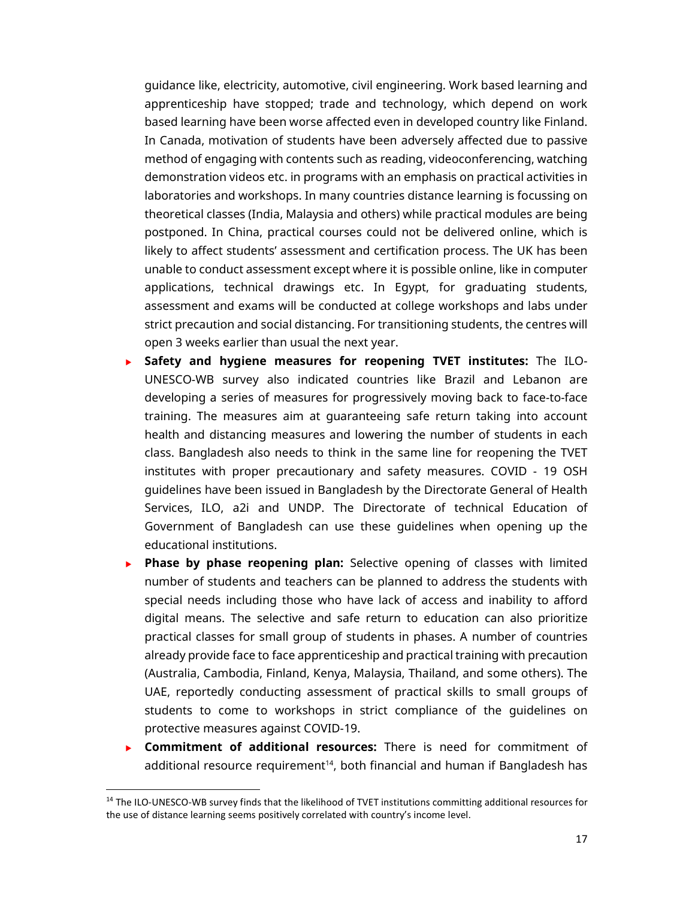guidance like, electricity, automotive, civil engineering. Work based learning and apprenticeship have stopped; trade and technology, which depend on work based learning have been worse affected even in developed country like Finland. In Canada, motivation of students have been adversely affected due to passive method of engaging with contents such as reading, videoconferencing, watching demonstration videos etc. in programs with an emphasis on practical activities in laboratories and workshops. In many countries distance learning is focussing on theoretical classes (India, Malaysia and others) while practical modules are being postponed. In China, practical courses could not be delivered online, which is likely to affect students' assessment and certification process. The UK has been unable to conduct assessment except where it is possible online, like in computer applications, technical drawings etc. In Egypt, for graduating students, assessment and exams will be conducted at college workshops and labs under strict precaution and social distancing. For transitioning students, the centres will open 3 weeks earlier than usual the next year.

- **Safety and hygiene measures for reopening TVET institutes:** The ILO-UNESCO-WB survey also indicated countries like Brazil and Lebanon are developing a series of measures for progressively moving back to face-to-face training. The measures aim at guaranteeing safe return taking into account health and distancing measures and lowering the number of students in each class. Bangladesh also needs to think in the same line for reopening the TVET institutes with proper precautionary and safety measures. COVID - 19 OSH guidelines have been issued in Bangladesh by the Directorate General of Health Services, ILO, a2i and UNDP. The Directorate of technical Education of Government of Bangladesh can use these guidelines when opening up the educational institutions.
- **Phase by phase reopening plan:** Selective opening of classes with limited number of students and teachers can be planned to address the students with special needs including those who have lack of access and inability to afford digital means. The selective and safe return to education can also prioritize practical classes for small group of students in phases. A number of countries already provide face to face apprenticeship and practical training with precaution (Australia, Cambodia, Finland, Kenya, Malaysia, Thailand, and some others). The UAE, reportedly conducting assessment of practical skills to small groups of students to come to workshops in strict compliance of the guidelines on protective measures against COVID-19.
- **Commitment of additional resources:** There is need for commitment of additional resource requirement<sup>14</sup>, both financial and human if Bangladesh has

<sup>&</sup>lt;sup>14</sup> The ILO-UNESCO-WB survey finds that the likelihood of TVET institutions committing additional resources for the use of distance learning seems positively correlated with country's income level.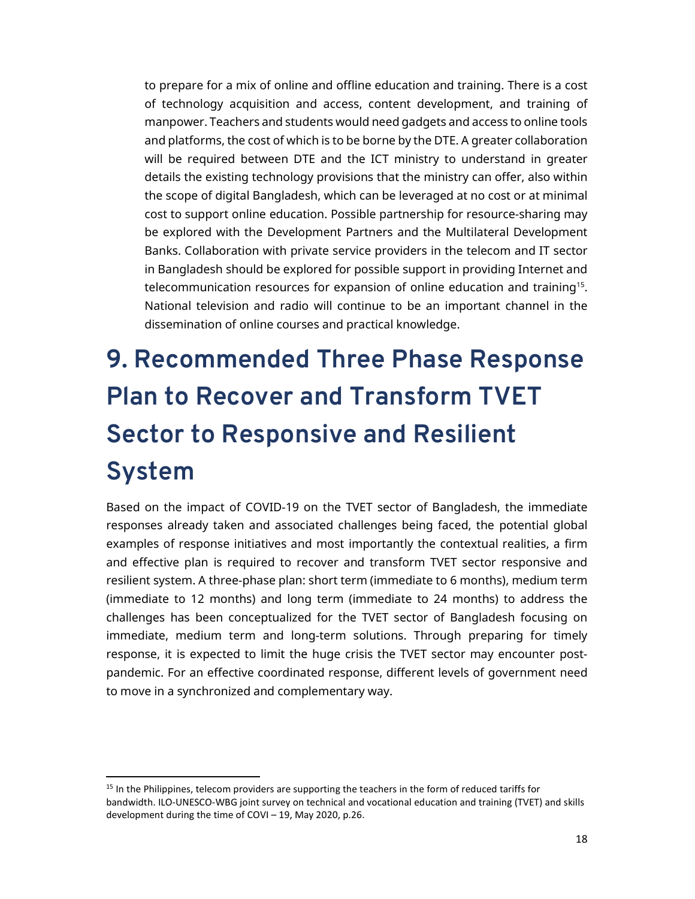to prepare for a mix of online and offline education and training. There is a cost of technology acquisition and access, content development, and training of manpower. Teachers and students would need gadgets and access to online tools and platforms, the cost of which is to be borne by the DTE. A greater collaboration will be required between DTE and the ICT ministry to understand in greater details the existing technology provisions that the ministry can offer, also within the scope of digital Bangladesh, which can be leveraged at no cost or at minimal cost to support online education. Possible partnership for resource-sharing may be explored with the Development Partners and the Multilateral Development Banks. Collaboration with private service providers in the telecom and IT sector in Bangladesh should be explored for possible support in providing Internet and telecommunication resources for expansion of online education and training<sup>15</sup>. National television and radio will continue to be an important channel in the dissemination of online courses and practical knowledge.

# **9. Recommended Three Phase Response Plan to Recover and Transform TVET Sector to Responsive and Resilient System**

Based on the impact of COVID-19 on the TVET sector of Bangladesh, the immediate responses already taken and associated challenges being faced, the potential global examples of response initiatives and most importantly the contextual realities, a firm and effective plan is required to recover and transform TVET sector responsive and resilient system. A three-phase plan: short term (immediate to 6 months), medium term (immediate to 12 months) and long term (immediate to 24 months) to address the challenges has been conceptualized for the TVET sector of Bangladesh focusing on immediate, medium term and long-term solutions. Through preparing for timely response, it is expected to limit the huge crisis the TVET sector may encounter postpandemic. For an effective coordinated response, different levels of government need to move in a synchronized and complementary way.

<sup>&</sup>lt;sup>15</sup> In the Philippines, telecom providers are supporting the teachers in the form of reduced tariffs for bandwidth. ILO-UNESCO-WBG joint survey on technical and vocational education and training (TVET) and skills development during the time of COVI – 19, May 2020, p.26.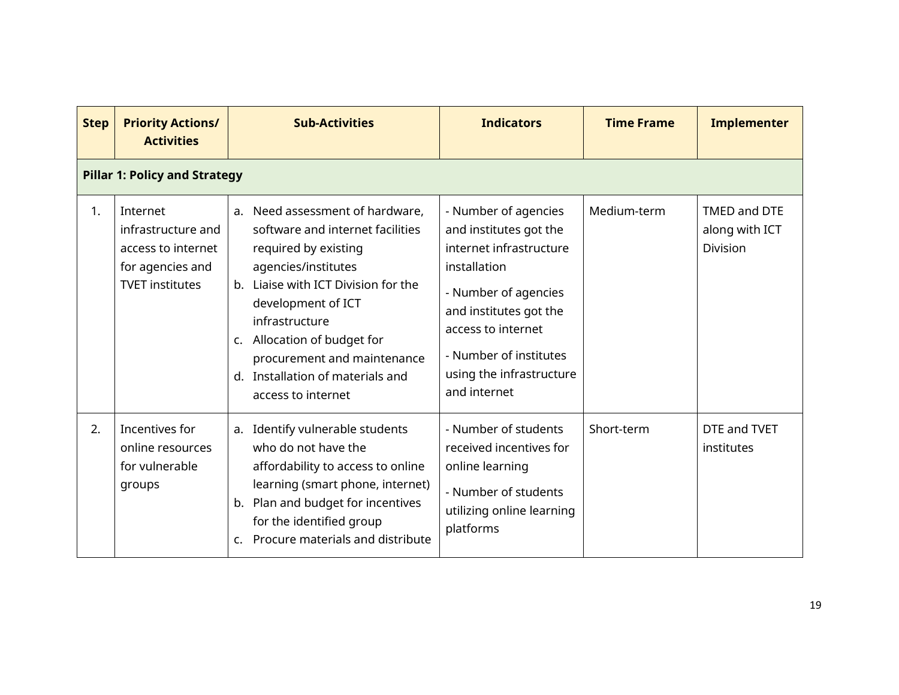| <b>Step</b> | <b>Priority Actions/</b><br><b>Activities</b>                                                      | <b>Sub-Activities</b>                                                                                                                                                                                                                                                                                                                                   | <b>Indicators</b>                                                                                                                                                                                                                       | <b>Time Frame</b> | <b>Implementer</b>                         |  |  |  |  |  |
|-------------|----------------------------------------------------------------------------------------------------|---------------------------------------------------------------------------------------------------------------------------------------------------------------------------------------------------------------------------------------------------------------------------------------------------------------------------------------------------------|-----------------------------------------------------------------------------------------------------------------------------------------------------------------------------------------------------------------------------------------|-------------------|--------------------------------------------|--|--|--|--|--|
|             | <b>Pillar 1: Policy and Strategy</b>                                                               |                                                                                                                                                                                                                                                                                                                                                         |                                                                                                                                                                                                                                         |                   |                                            |  |  |  |  |  |
| 1.          | Internet<br>infrastructure and<br>access to internet<br>for agencies and<br><b>TVET institutes</b> | a. Need assessment of hardware,<br>software and internet facilities<br>required by existing<br>agencies/institutes<br>Liaise with ICT Division for the<br>$h_{\cdot}$<br>development of ICT<br>infrastructure<br>Allocation of budget for<br>$\mathsf{C}$ .<br>procurement and maintenance<br>Installation of materials and<br>d.<br>access to internet | - Number of agencies<br>and institutes got the<br>internet infrastructure<br>installation<br>- Number of agencies<br>and institutes got the<br>access to internet<br>- Number of institutes<br>using the infrastructure<br>and internet | Medium-term       | TMED and DTE<br>along with ICT<br>Division |  |  |  |  |  |
| 2.          | Incentives for<br>online resources<br>for vulnerable<br>groups                                     | a. Identify vulnerable students<br>who do not have the<br>affordability to access to online<br>learning (smart phone, internet)<br>b. Plan and budget for incentives<br>for the identified group<br>Procure materials and distribute<br>$\mathsf{C}$                                                                                                    | - Number of students<br>received incentives for<br>online learning<br>- Number of students<br>utilizing online learning<br>platforms                                                                                                    | Short-term        | DTE and TVET<br>institutes                 |  |  |  |  |  |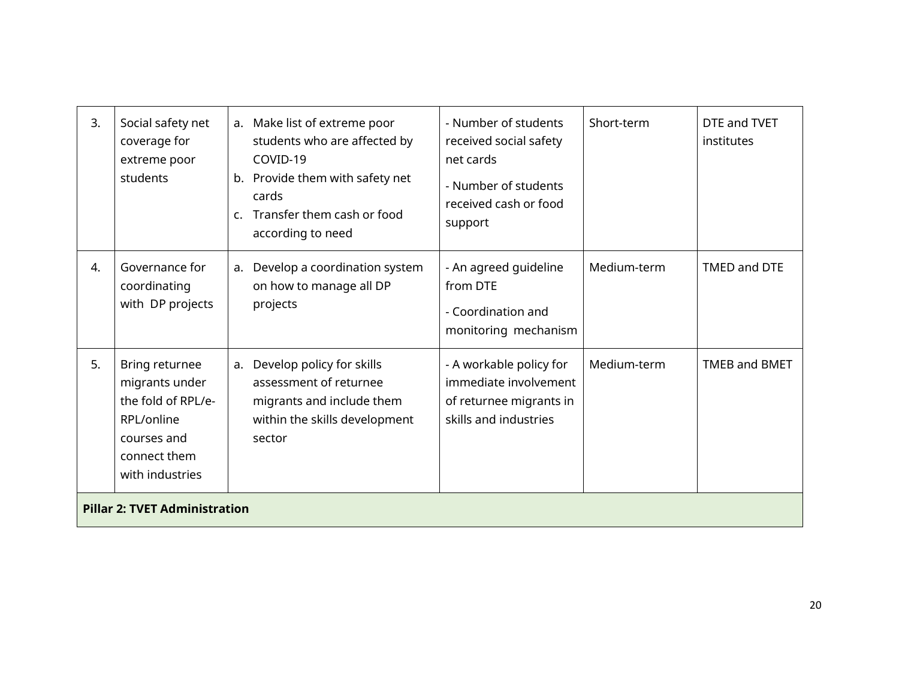| 3. | Social safety net<br>coverage for<br>extreme poor<br>students                                                          | b.<br>$\mathsf{C}$ . | a. Make list of extreme poor<br>students who are affected by<br>COVID-19<br>Provide them with safety net<br>cards<br>Transfer them cash or food<br>according to need | - Number of students<br>received social safety<br>net cards<br>- Number of students<br>received cash or food<br>support | Short-term  | DTE and TVET<br>institutes |
|----|------------------------------------------------------------------------------------------------------------------------|----------------------|----------------------------------------------------------------------------------------------------------------------------------------------------------------------|-------------------------------------------------------------------------------------------------------------------------|-------------|----------------------------|
| 4. | Governance for<br>coordinating<br>with DP projects                                                                     |                      | a. Develop a coordination system<br>on how to manage all DP<br>projects                                                                                              | - An agreed guideline<br>from DTE<br>- Coordination and<br>monitoring mechanism                                         | Medium-term | TMED and DTE               |
| 5. | Bring returnee<br>migrants under<br>the fold of RPL/e-<br>RPL/online<br>courses and<br>connect them<br>with industries | a.                   | Develop policy for skills<br>assessment of returnee<br>migrants and include them<br>within the skills development<br>sector                                          | - A workable policy for<br>immediate involvement<br>of returnee migrants in<br>skills and industries                    | Medium-term | <b>TMEB and BMET</b>       |
|    | <b>Pillar 2: TVET Administration</b>                                                                                   |                      |                                                                                                                                                                      |                                                                                                                         |             |                            |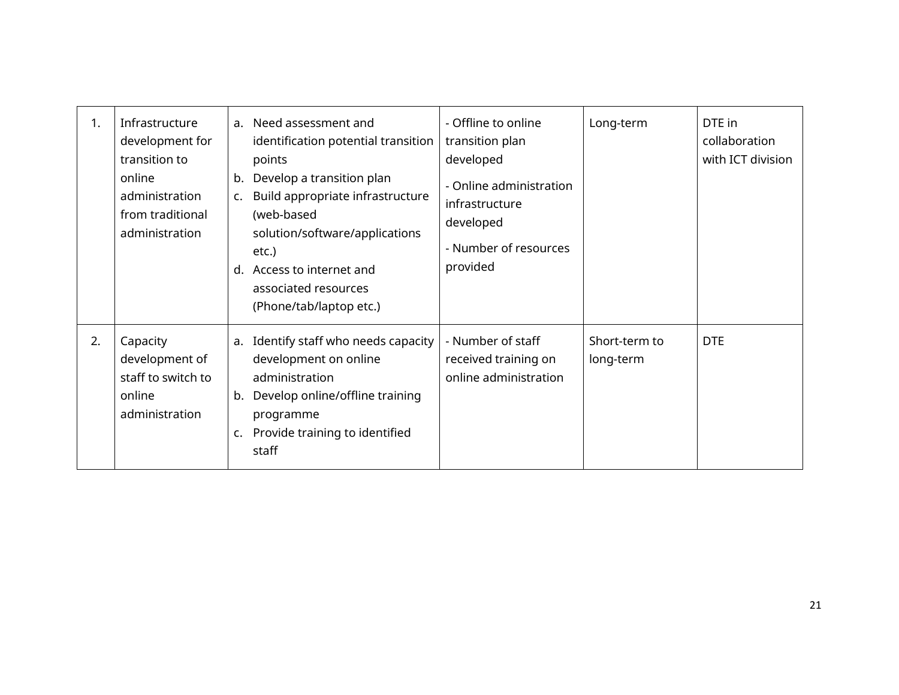| 1. | Infrastructure<br>development for<br>transition to<br>online<br>administration<br>from traditional<br>administration | b.<br>$\mathsf{C}$ .<br>d. | a. Need assessment and<br>identification potential transition<br>points<br>Develop a transition plan<br>Build appropriate infrastructure<br>(web-based<br>solution/software/applications<br>etc.)<br>Access to internet and<br>associated resources<br>(Phone/tab/laptop etc.) | - Offline to online<br>transition plan<br>developed<br>- Online administration<br>infrastructure<br>developed<br>- Number of resources<br>provided | Long-term                  | DTE in<br>collaboration<br>with ICT division |
|----|----------------------------------------------------------------------------------------------------------------------|----------------------------|--------------------------------------------------------------------------------------------------------------------------------------------------------------------------------------------------------------------------------------------------------------------------------|----------------------------------------------------------------------------------------------------------------------------------------------------|----------------------------|----------------------------------------------|
| 2. | Capacity<br>development of<br>staff to switch to<br>online<br>administration                                         | b.<br>c.                   | a. Identify staff who needs capacity<br>development on online<br>administration<br>Develop online/offline training<br>programme<br>Provide training to identified<br>staff                                                                                                     | - Number of staff<br>received training on<br>online administration                                                                                 | Short-term to<br>long-term | <b>DTE</b>                                   |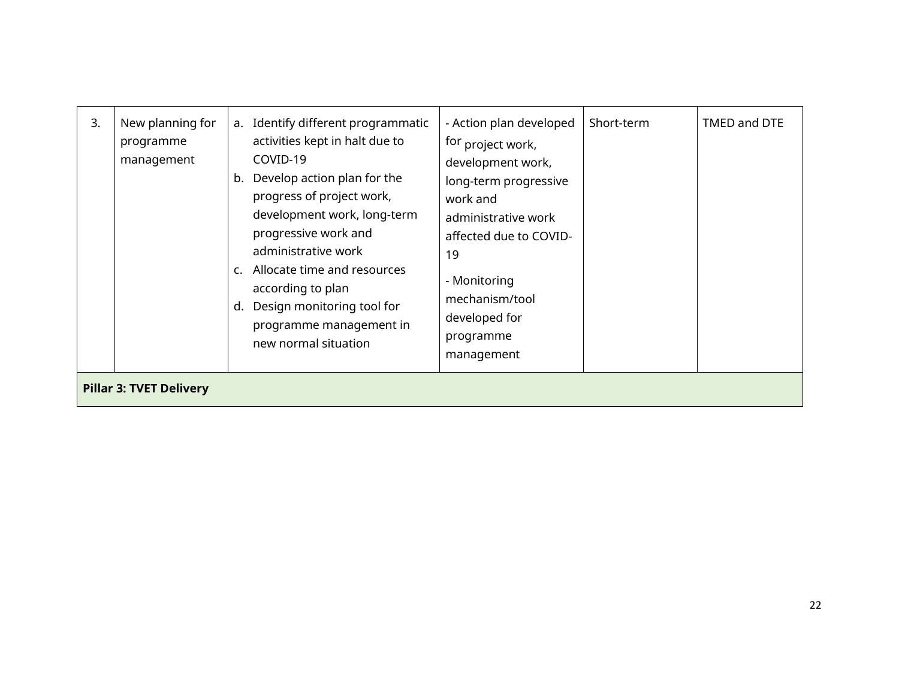| 3. | New planning for<br>programme<br>management | Identify different programmatic<br>a.<br>activities kept in halt due to<br>COVID-19<br>Develop action plan for the<br>b.<br>progress of project work,<br>development work, long-term<br>progressive work and<br>administrative work<br>Allocate time and resources<br>C.<br>according to plan<br>Design monitoring tool for<br>d.<br>programme management in<br>new normal situation | - Action plan developed<br>for project work,<br>development work,<br>long-term progressive<br>work and<br>administrative work<br>affected due to COVID-<br>19<br>- Monitoring<br>mechanism/tool<br>developed for<br>programme<br>management | Short-term | TMED and DTE |  |  |  |  |
|----|---------------------------------------------|--------------------------------------------------------------------------------------------------------------------------------------------------------------------------------------------------------------------------------------------------------------------------------------------------------------------------------------------------------------------------------------|---------------------------------------------------------------------------------------------------------------------------------------------------------------------------------------------------------------------------------------------|------------|--------------|--|--|--|--|
|    | <b>Pillar 3: TVET Delivery</b>              |                                                                                                                                                                                                                                                                                                                                                                                      |                                                                                                                                                                                                                                             |            |              |  |  |  |  |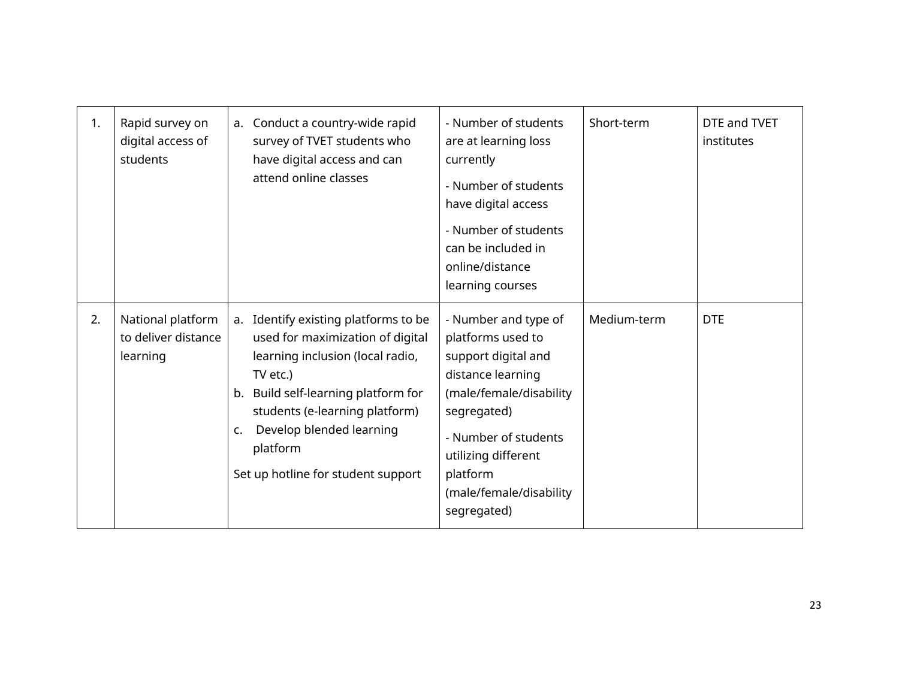| 1. | Rapid survey on<br>digital access of<br>students     | a. Conduct a country-wide rapid<br>survey of TVET students who<br>have digital access and can<br>attend online classes                                                                                                                                                                   | - Number of students<br>are at learning loss<br>currently<br>- Number of students<br>have digital access<br>- Number of students<br>can be included in<br>online/distance<br>learning courses                                        | Short-term  | DTE and TVET<br>institutes |
|----|------------------------------------------------------|------------------------------------------------------------------------------------------------------------------------------------------------------------------------------------------------------------------------------------------------------------------------------------------|--------------------------------------------------------------------------------------------------------------------------------------------------------------------------------------------------------------------------------------|-------------|----------------------------|
| 2. | National platform<br>to deliver distance<br>learning | a. Identify existing platforms to be<br>used for maximization of digital<br>learning inclusion (local radio,<br>TV etc.)<br>Build self-learning platform for<br>b.<br>students (e-learning platform)<br>Develop blended learning<br>c.<br>platform<br>Set up hotline for student support | - Number and type of<br>platforms used to<br>support digital and<br>distance learning<br>(male/female/disability<br>segregated)<br>- Number of students<br>utilizing different<br>platform<br>(male/female/disability<br>segregated) | Medium-term | <b>DTE</b>                 |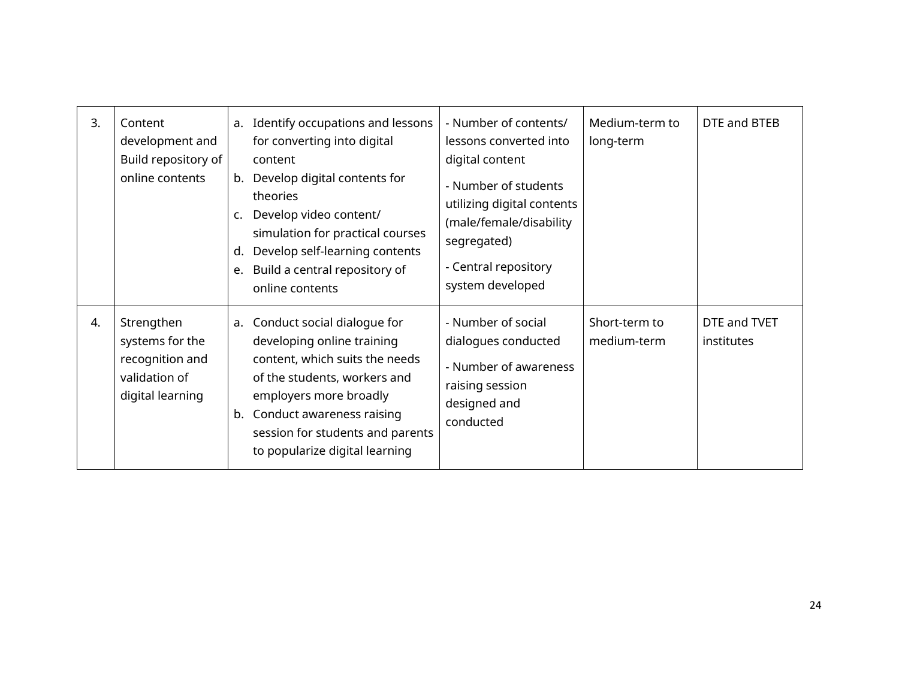| 3. | Content<br>development and<br>Build repository of<br>online contents                  | c.<br>d.<br>e. | a. Identify occupations and lessons<br>for converting into digital<br>content<br>b. Develop digital contents for<br>theories<br>Develop video content/<br>simulation for practical courses<br>Develop self-learning contents<br>Build a central repository of<br>online contents | - Number of contents/<br>lessons converted into<br>digital content<br>- Number of students<br>utilizing digital contents<br>(male/female/disability<br>segregated)<br>- Central repository<br>system developed | Medium-term to<br>long-term  | DTE and BTEB               |
|----|---------------------------------------------------------------------------------------|----------------|----------------------------------------------------------------------------------------------------------------------------------------------------------------------------------------------------------------------------------------------------------------------------------|----------------------------------------------------------------------------------------------------------------------------------------------------------------------------------------------------------------|------------------------------|----------------------------|
| 4. | Strengthen<br>systems for the<br>recognition and<br>validation of<br>digital learning |                | a. Conduct social dialogue for<br>developing online training<br>content, which suits the needs<br>of the students, workers and<br>employers more broadly<br>b. Conduct awareness raising<br>session for students and parents<br>to popularize digital learning                   | - Number of social<br>dialogues conducted<br>- Number of awareness<br>raising session<br>designed and<br>conducted                                                                                             | Short-term to<br>medium-term | DTE and TVET<br>institutes |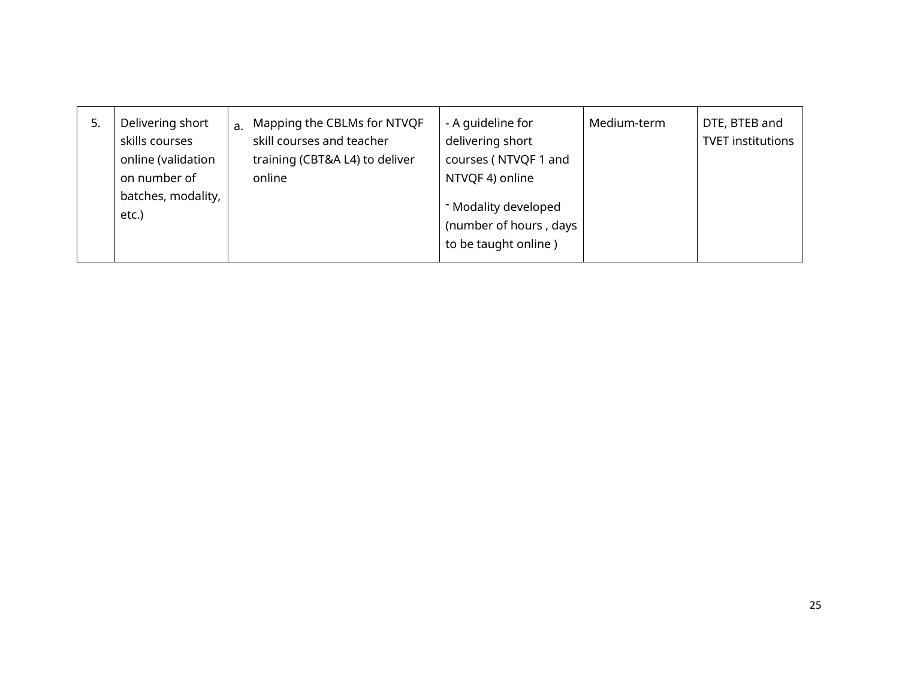| 5. | Delivering short<br>skills courses<br>online (validation<br>on number of<br>batches, modality,<br>etc.) |  | a. Mapping the CBLMs for NTVQF<br>skill courses and teacher<br>training (CBT&A L4) to deliver<br>online | - A quideline for<br>delivering short<br>courses (NTVQF 1 and<br>NTVQF 4) online<br>- Modality developed<br>(number of hours, days<br>to be taught online) | Medium-term | DTE, BTEB and<br><b>TVET institutions</b> |
|----|---------------------------------------------------------------------------------------------------------|--|---------------------------------------------------------------------------------------------------------|------------------------------------------------------------------------------------------------------------------------------------------------------------|-------------|-------------------------------------------|
|----|---------------------------------------------------------------------------------------------------------|--|---------------------------------------------------------------------------------------------------------|------------------------------------------------------------------------------------------------------------------------------------------------------------|-------------|-------------------------------------------|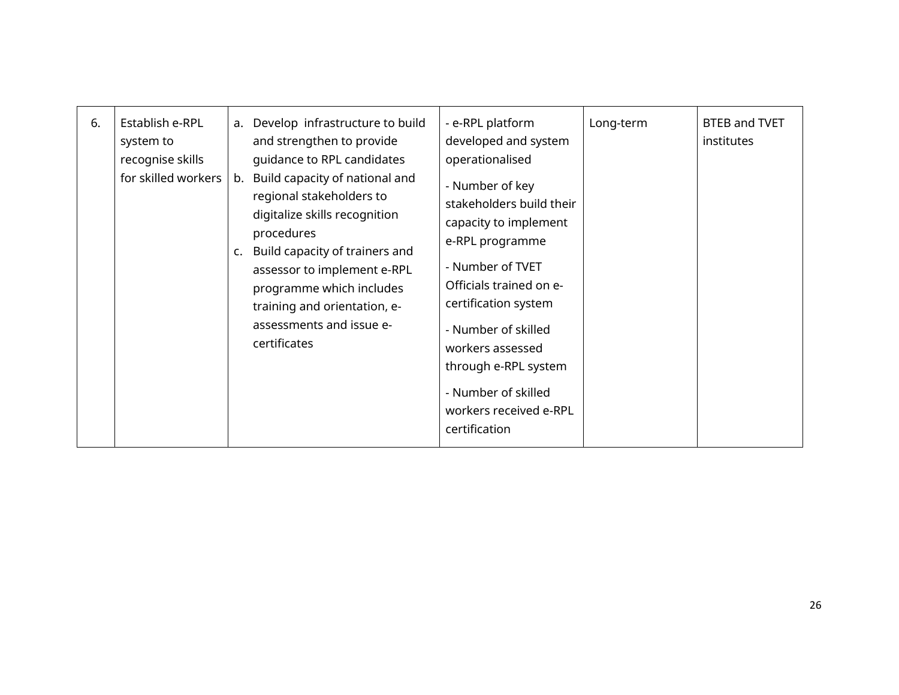| Establish e-RPL<br>a. Develop infrastructure to build<br>- e-RPL platform<br>Long-term<br>6.<br>developed and system<br>and strengthen to provide<br>system to<br>recognise skills<br>guidance to RPL candidates<br>operationalised<br>for skilled workers<br>Build capacity of national and<br>b.<br>- Number of key<br>regional stakeholders to<br>stakeholders build their<br>digitalize skills recognition<br>capacity to implement<br>procedures<br>e-RPL programme<br>Build capacity of trainers and<br>c.<br>- Number of TVET<br>assessor to implement e-RPL<br>Officials trained on e-<br>programme which includes<br>certification system<br>training and orientation, e-<br>assessments and issue e-<br>- Number of skilled<br>certificates<br>workers assessed<br>through e-RPL system<br>- Number of skilled<br>workers received e-RPL<br>certification | <b>BTEB and TVET</b><br>institutes |
|---------------------------------------------------------------------------------------------------------------------------------------------------------------------------------------------------------------------------------------------------------------------------------------------------------------------------------------------------------------------------------------------------------------------------------------------------------------------------------------------------------------------------------------------------------------------------------------------------------------------------------------------------------------------------------------------------------------------------------------------------------------------------------------------------------------------------------------------------------------------|------------------------------------|
|---------------------------------------------------------------------------------------------------------------------------------------------------------------------------------------------------------------------------------------------------------------------------------------------------------------------------------------------------------------------------------------------------------------------------------------------------------------------------------------------------------------------------------------------------------------------------------------------------------------------------------------------------------------------------------------------------------------------------------------------------------------------------------------------------------------------------------------------------------------------|------------------------------------|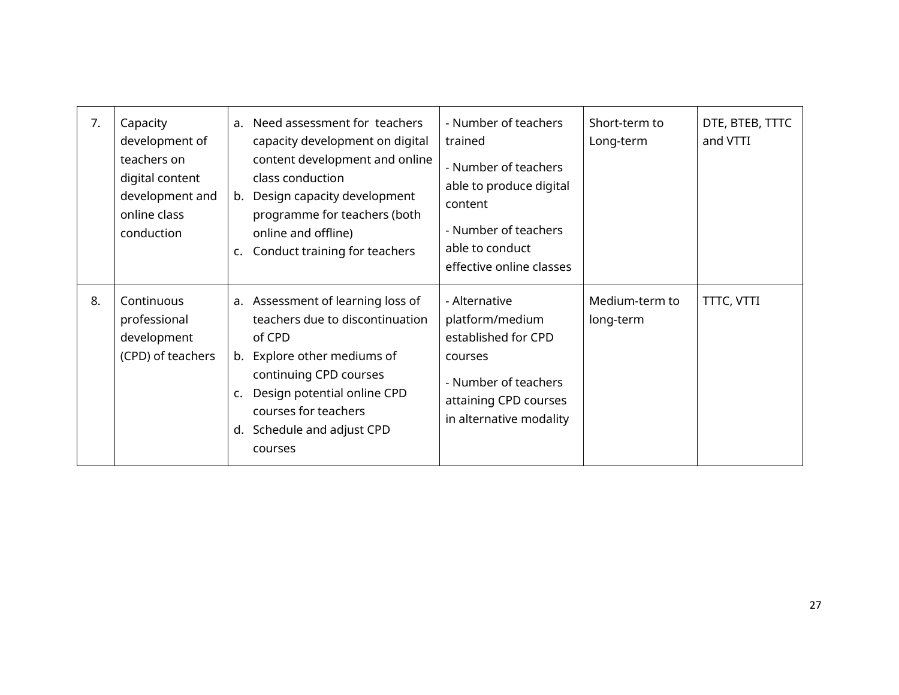| 7. | Capacity<br>development of<br>teachers on<br>digital content<br>development and<br>online class<br>conduction | c.       | a. Need assessment for teachers<br>capacity development on digital<br>content development and online<br>class conduction<br>b. Design capacity development<br>programme for teachers (both<br>online and offline)<br>Conduct training for teachers | - Number of teachers<br>trained<br>- Number of teachers<br>able to produce digital<br>content<br>- Number of teachers<br>able to conduct<br>effective online classes | Short-term to<br>Long-term  | DTE, BTEB, TTTC<br>and VTTI |
|----|---------------------------------------------------------------------------------------------------------------|----------|----------------------------------------------------------------------------------------------------------------------------------------------------------------------------------------------------------------------------------------------------|----------------------------------------------------------------------------------------------------------------------------------------------------------------------|-----------------------------|-----------------------------|
| 8. | Continuous<br>professional<br>development<br>(CPD) of teachers                                                | c.<br>d. | a. Assessment of learning loss of<br>teachers due to discontinuation<br>of CPD<br>b. Explore other mediums of<br>continuing CPD courses<br>Design potential online CPD<br>courses for teachers<br>Schedule and adjust CPD<br>courses               | - Alternative<br>platform/medium<br>established for CPD<br>courses<br>- Number of teachers<br>attaining CPD courses<br>in alternative modality                       | Medium-term to<br>long-term | TTTC, VTTI                  |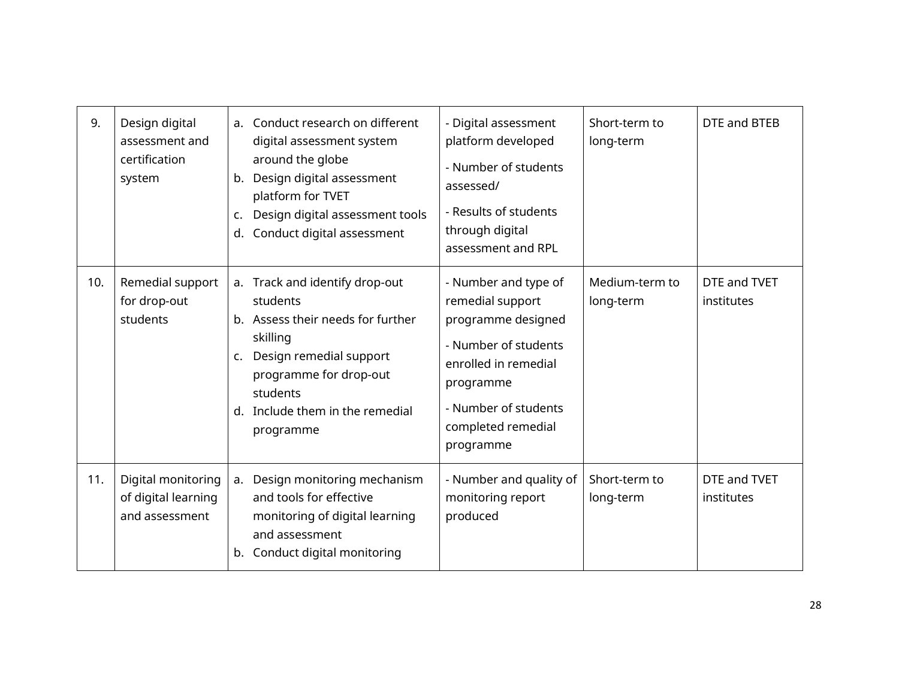| 9.  | Design digital<br>assessment and<br>certification<br>system | b.<br>c.<br>d. | a. Conduct research on different<br>digital assessment system<br>around the globe<br>Design digital assessment<br>platform for TVET<br>Design digital assessment tools<br>Conduct digital assessment      | - Digital assessment<br>platform developed<br>- Number of students<br>assessed/<br>- Results of students<br>through digital<br>assessment and RPL                                      | Short-term to<br>long-term  | DTE and BTEB               |
|-----|-------------------------------------------------------------|----------------|-----------------------------------------------------------------------------------------------------------------------------------------------------------------------------------------------------------|----------------------------------------------------------------------------------------------------------------------------------------------------------------------------------------|-----------------------------|----------------------------|
| 10. | Remedial support<br>for drop-out<br>students                | c.<br>d.       | a. Track and identify drop-out<br>students<br>b. Assess their needs for further<br>skilling<br>Design remedial support<br>programme for drop-out<br>students<br>Include them in the remedial<br>programme | - Number and type of<br>remedial support<br>programme designed<br>- Number of students<br>enrolled in remedial<br>programme<br>- Number of students<br>completed remedial<br>programme | Medium-term to<br>long-term | DTE and TVET<br>institutes |
| 11. | Digital monitoring<br>of digital learning<br>and assessment | b.             | a. Design monitoring mechanism<br>and tools for effective<br>monitoring of digital learning<br>and assessment<br>Conduct digital monitoring                                                               | - Number and quality of<br>monitoring report<br>produced                                                                                                                               | Short-term to<br>long-term  | DTE and TVET<br>institutes |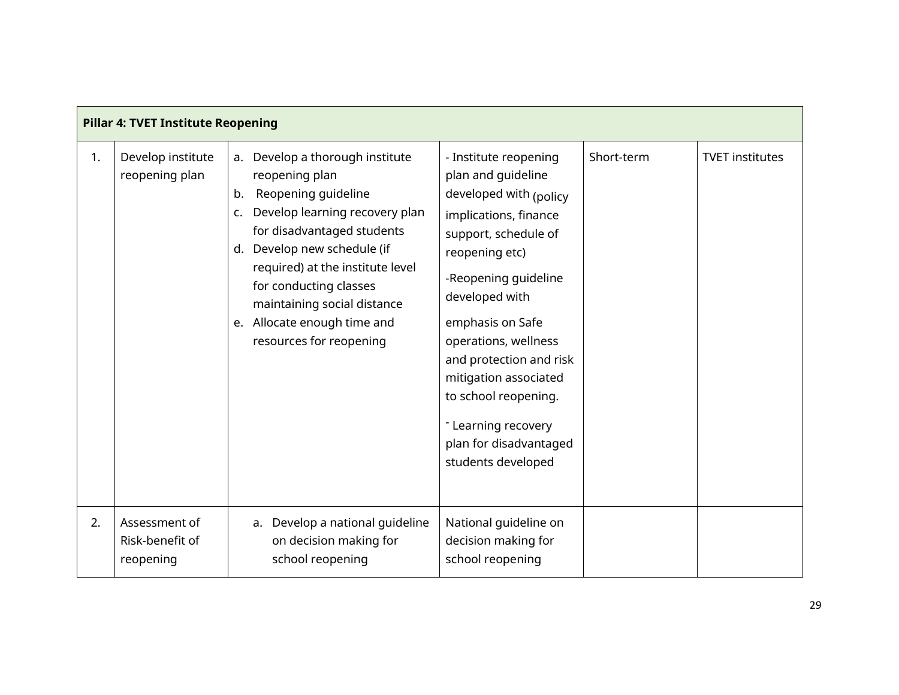| <b>Pillar 4: TVET Institute Reopening</b> |                                               |                                                                                                                                                                                                                                                                                                                                               |                                                                                                                                                                                                                                                                                                                                                                                   |            |                        |  |  |
|-------------------------------------------|-----------------------------------------------|-----------------------------------------------------------------------------------------------------------------------------------------------------------------------------------------------------------------------------------------------------------------------------------------------------------------------------------------------|-----------------------------------------------------------------------------------------------------------------------------------------------------------------------------------------------------------------------------------------------------------------------------------------------------------------------------------------------------------------------------------|------------|------------------------|--|--|
| 1.                                        | Develop institute<br>reopening plan           | a. Develop a thorough institute<br>reopening plan<br>Reopening guideline<br>b.<br>Develop learning recovery plan<br>c.<br>for disadvantaged students<br>Develop new schedule (if<br>d.<br>required) at the institute level<br>for conducting classes<br>maintaining social distance<br>e. Allocate enough time and<br>resources for reopening | - Institute reopening<br>plan and guideline<br>developed with (policy<br>implications, finance<br>support, schedule of<br>reopening etc)<br>-Reopening guideline<br>developed with<br>emphasis on Safe<br>operations, wellness<br>and protection and risk<br>mitigation associated<br>to school reopening.<br>- Learning recovery<br>plan for disadvantaged<br>students developed | Short-term | <b>TVET institutes</b> |  |  |
| 2.                                        | Assessment of<br>Risk-benefit of<br>reopening | a. Develop a national guideline<br>on decision making for<br>school reopening                                                                                                                                                                                                                                                                 | National guideline on<br>decision making for<br>school reopening                                                                                                                                                                                                                                                                                                                  |            |                        |  |  |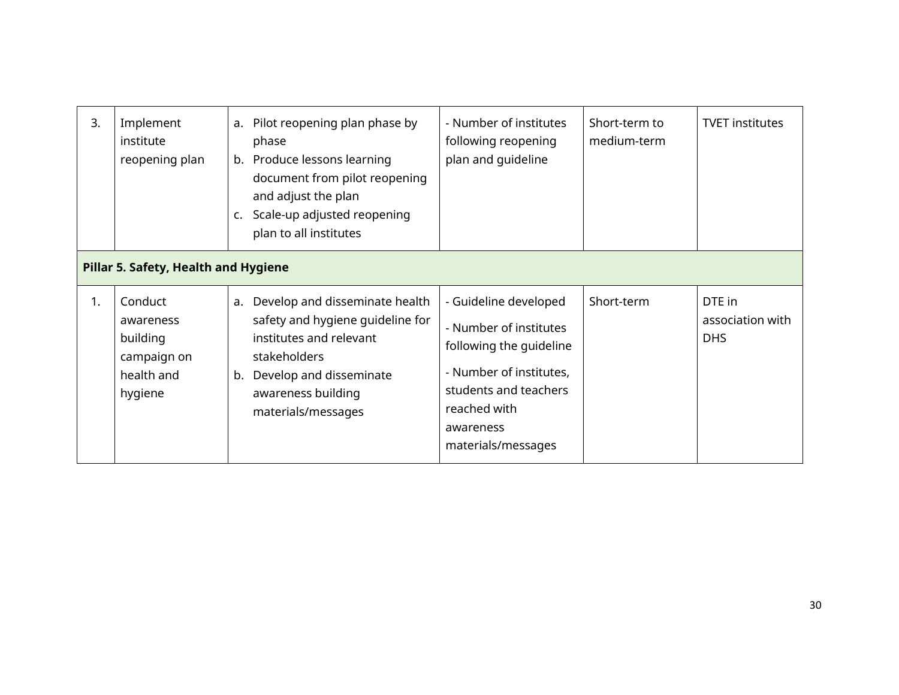| 3.                                   | Implement<br>institute<br>reopening plan                                 | a.<br>C. | Pilot reopening plan phase by<br>phase<br>b. Produce lessons learning<br>document from pilot reopening<br>and adjust the plan<br>Scale-up adjusted reopening<br>plan to all institutes | - Number of institutes<br>following reopening<br>plan and guideline                                                                                                               | Short-term to<br>medium-term | <b>TVET institutes</b>                   |
|--------------------------------------|--------------------------------------------------------------------------|----------|----------------------------------------------------------------------------------------------------------------------------------------------------------------------------------------|-----------------------------------------------------------------------------------------------------------------------------------------------------------------------------------|------------------------------|------------------------------------------|
| Pillar 5. Safety, Health and Hygiene |                                                                          |          |                                                                                                                                                                                        |                                                                                                                                                                                   |                              |                                          |
| 1.                                   | Conduct<br>awareness<br>building<br>campaign on<br>health and<br>hygiene | a.<br>b. | Develop and disseminate health<br>safety and hygiene guideline for<br>institutes and relevant<br>stakeholders<br>Develop and disseminate<br>awareness building<br>materials/messages   | - Guideline developed<br>- Number of institutes<br>following the quideline<br>- Number of institutes,<br>students and teachers<br>reached with<br>awareness<br>materials/messages | Short-term                   | DTE in<br>association with<br><b>DHS</b> |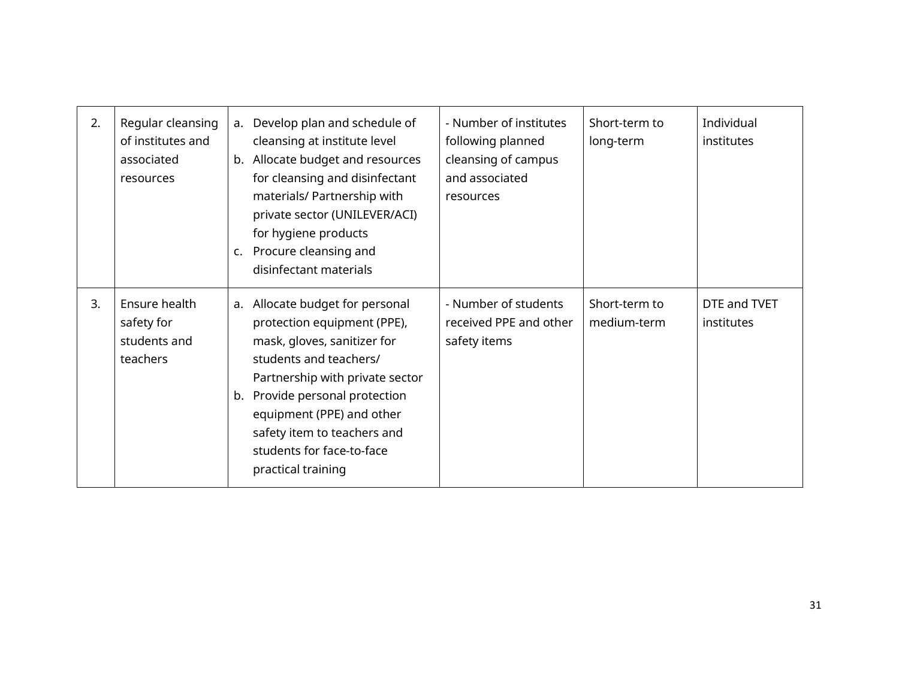| 2. | Regular cleansing<br>of institutes and<br>associated<br>resources | c. | a. Develop plan and schedule of<br>cleansing at institute level<br>b. Allocate budget and resources<br>for cleansing and disinfectant<br>materials/ Partnership with<br>private sector (UNILEVER/ACI)<br>for hygiene products<br>Procure cleansing and<br>disinfectant materials                         | - Number of institutes<br>following planned<br>cleansing of campus<br>and associated<br>resources | Short-term to<br>long-term   | Individual<br>institutes   |
|----|-------------------------------------------------------------------|----|----------------------------------------------------------------------------------------------------------------------------------------------------------------------------------------------------------------------------------------------------------------------------------------------------------|---------------------------------------------------------------------------------------------------|------------------------------|----------------------------|
| 3. | Ensure health<br>safety for<br>students and<br>teachers           | b. | a. Allocate budget for personal<br>protection equipment (PPE),<br>mask, gloves, sanitizer for<br>students and teachers/<br>Partnership with private sector<br>Provide personal protection<br>equipment (PPE) and other<br>safety item to teachers and<br>students for face-to-face<br>practical training | - Number of students<br>received PPE and other<br>safety items                                    | Short-term to<br>medium-term | DTE and TVET<br>institutes |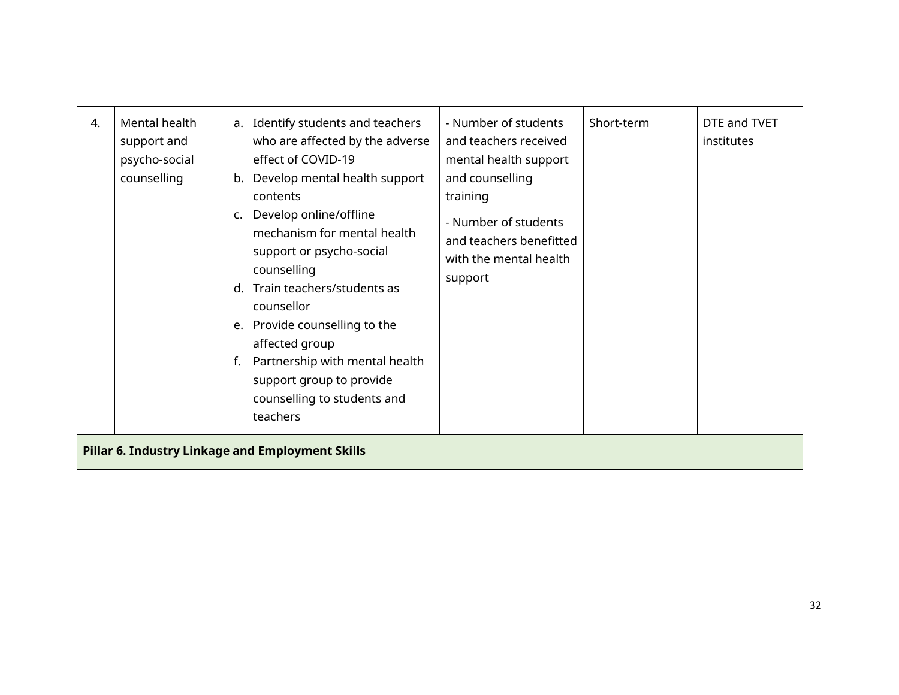| 4. | Mental health<br>support and<br>psycho-social<br>counselling | b.<br>c.<br>$d_{\cdot}$<br>f. | a. Identify students and teachers<br>who are affected by the adverse<br>effect of COVID-19<br>Develop mental health support<br>contents<br>Develop online/offline<br>mechanism for mental health<br>support or psycho-social<br>counselling<br>Train teachers/students as<br>counsellor<br>e. Provide counselling to the<br>affected group<br>Partnership with mental health<br>support group to provide<br>counselling to students and<br>teachers | - Number of students<br>and teachers received<br>mental health support<br>and counselling<br>training<br>- Number of students<br>and teachers benefitted<br>with the mental health<br>support | Short-term | DTE and TVET<br>institutes |  |  |  |  |
|----|--------------------------------------------------------------|-------------------------------|-----------------------------------------------------------------------------------------------------------------------------------------------------------------------------------------------------------------------------------------------------------------------------------------------------------------------------------------------------------------------------------------------------------------------------------------------------|-----------------------------------------------------------------------------------------------------------------------------------------------------------------------------------------------|------------|----------------------------|--|--|--|--|
|    | Pillar 6. Industry Linkage and Employment Skills             |                               |                                                                                                                                                                                                                                                                                                                                                                                                                                                     |                                                                                                                                                                                               |            |                            |  |  |  |  |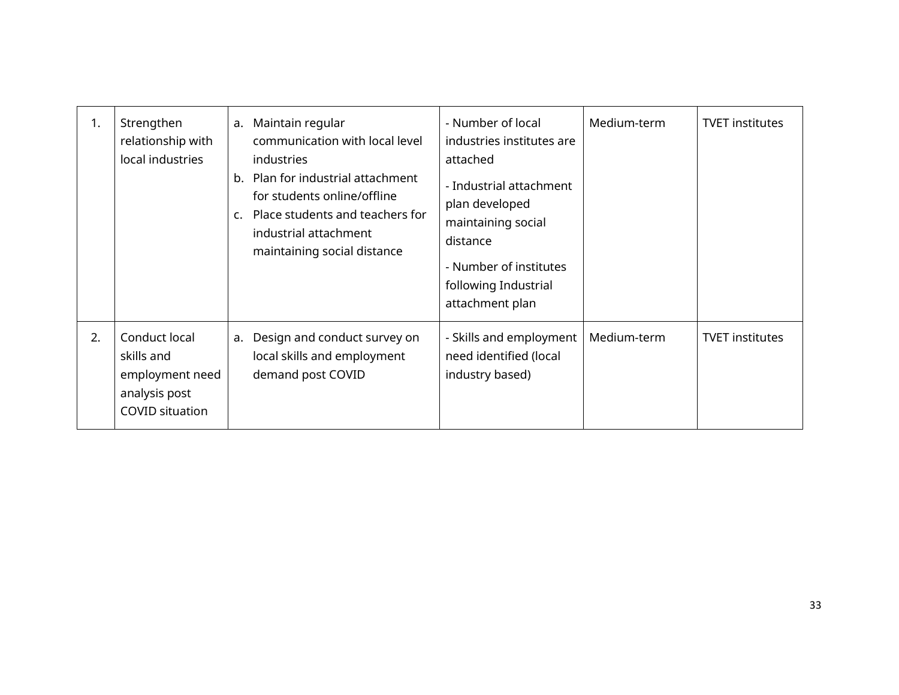| 1. | Strengthen<br>relationship with<br>local industries                                       | a.<br>b.<br>$\mathsf{C}$ . | Maintain regular<br>communication with local level<br>industries<br>Plan for industrial attachment<br>for students online/offline<br>Place students and teachers for<br>industrial attachment<br>maintaining social distance | - Number of local<br>industries institutes are<br>attached<br>- Industrial attachment<br>plan developed<br>maintaining social<br>distance<br>- Number of institutes<br>following Industrial<br>attachment plan | Medium-term | <b>TVET institutes</b> |
|----|-------------------------------------------------------------------------------------------|----------------------------|------------------------------------------------------------------------------------------------------------------------------------------------------------------------------------------------------------------------------|----------------------------------------------------------------------------------------------------------------------------------------------------------------------------------------------------------------|-------------|------------------------|
| 2. | Conduct local<br>skills and<br>employment need<br>analysis post<br><b>COVID situation</b> | а.                         | Design and conduct survey on<br>local skills and employment<br>demand post COVID                                                                                                                                             | - Skills and employment<br>need identified (local<br>industry based)                                                                                                                                           | Medium-term | <b>TVET institutes</b> |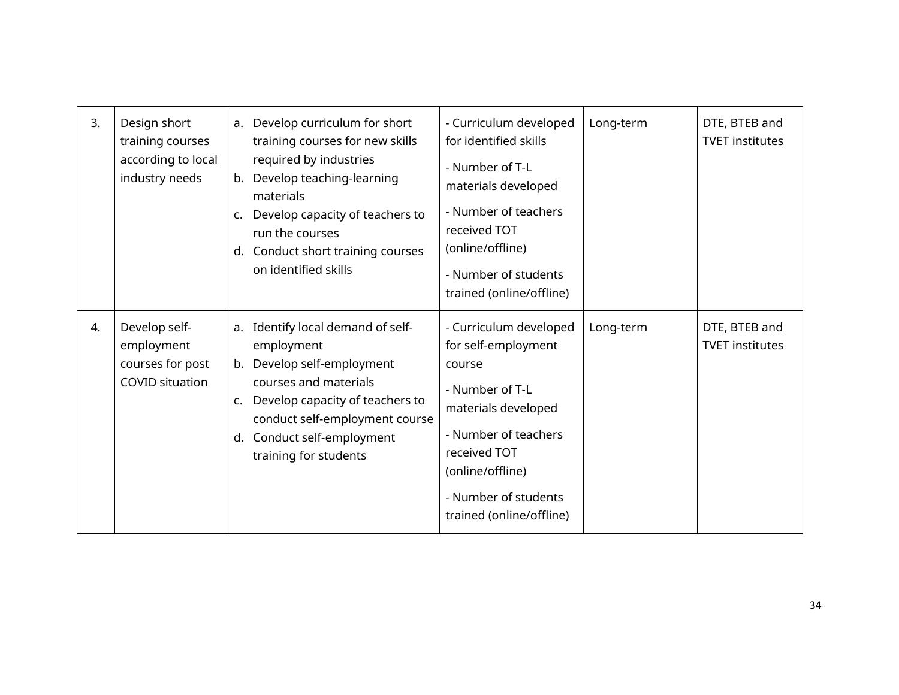| 3.               | Design short                                                              |                | a. Develop curriculum for short                                                                                                                                                                                                 | - Curriculum developed                                                                                                                                                                                            | Long-term | DTE, BTEB and                           |
|------------------|---------------------------------------------------------------------------|----------------|---------------------------------------------------------------------------------------------------------------------------------------------------------------------------------------------------------------------------------|-------------------------------------------------------------------------------------------------------------------------------------------------------------------------------------------------------------------|-----------|-----------------------------------------|
|                  | training courses                                                          |                | training courses for new skills                                                                                                                                                                                                 | for identified skills                                                                                                                                                                                             |           | <b>TVET institutes</b>                  |
|                  | according to local<br>industry needs                                      | b.<br>C.<br>d. | required by industries<br>Develop teaching-learning<br>materials<br>Develop capacity of teachers to<br>run the courses<br>Conduct short training courses<br>on identified skills                                                | - Number of T-L<br>materials developed<br>- Number of teachers<br>received TOT<br>(online/offline)<br>- Number of students<br>trained (online/offline)                                                            |           |                                         |
| $\overline{4}$ . | Develop self-<br>employment<br>courses for post<br><b>COVID situation</b> | c.<br>d.       | a. Identify local demand of self-<br>employment<br>b. Develop self-employment<br>courses and materials<br>Develop capacity of teachers to<br>conduct self-employment course<br>Conduct self-employment<br>training for students | - Curriculum developed<br>for self-employment<br>course<br>- Number of T-L<br>materials developed<br>- Number of teachers<br>received TOT<br>(online/offline)<br>- Number of students<br>trained (online/offline) | Long-term | DTE, BTEB and<br><b>TVET institutes</b> |